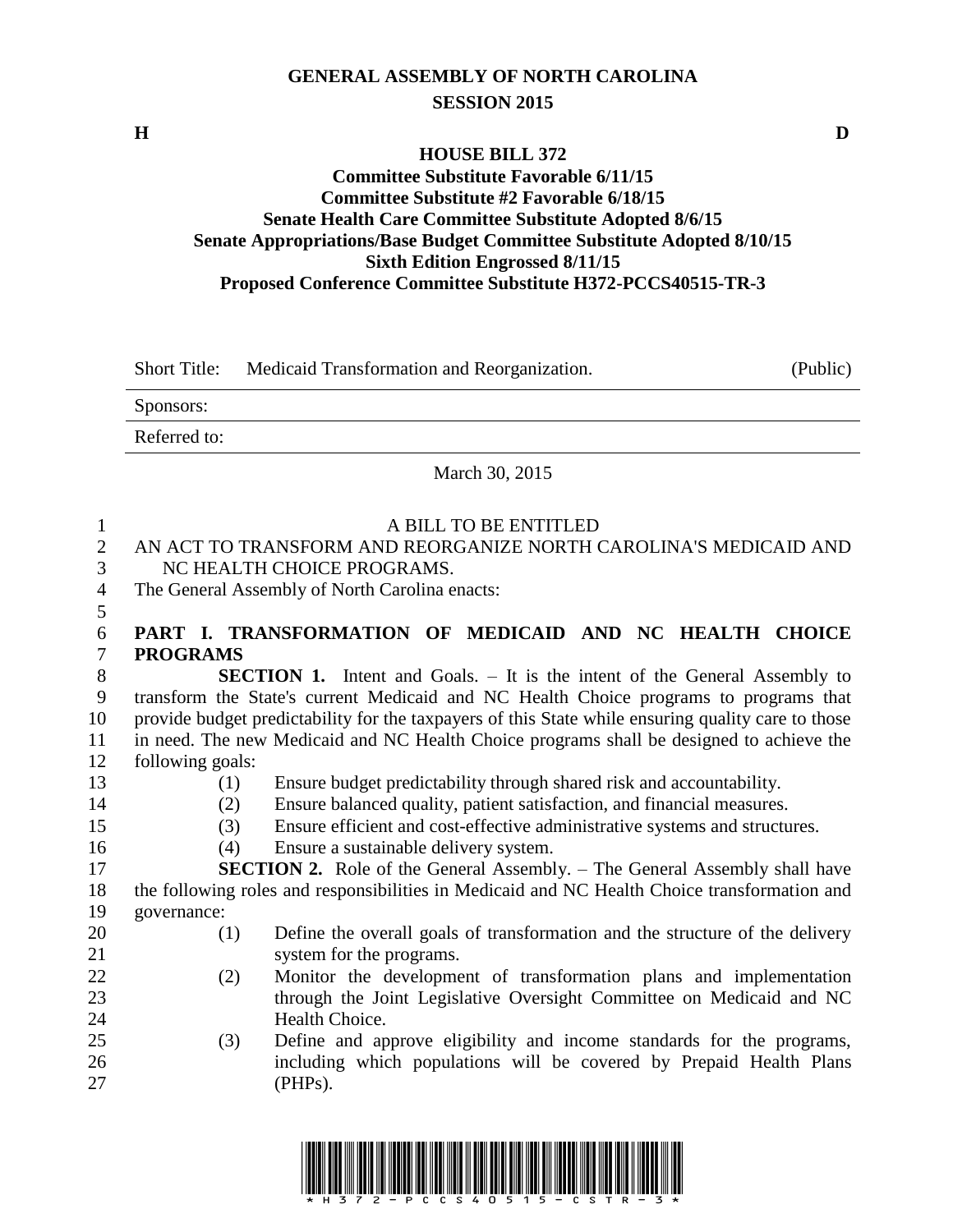# **GENERAL ASSEMBLY OF NORTH CAROLINA SESSION 2015**

### **HOUSE BILL 372 Committee Substitute Favorable 6/11/15 Committee Substitute #2 Favorable 6/18/15 Senate Health Care Committee Substitute Adopted 8/6/15 Senate Appropriations/Base Budget Committee Substitute Adopted 8/10/15 Sixth Edition Engrossed 8/11/15 Proposed Conference Committee Substitute H372-PCCS40515-TR-3**

| <b>Short Title:</b> | Medicaid Transformation and Reorganization. | (Public) |
|---------------------|---------------------------------------------|----------|
| Sponsors:           |                                             |          |
| Referred to:        |                                             |          |
|                     | March 30, 2015                              |          |

| 1<br>$\overline{2}$<br>3<br>4<br>5 |                  | A BILL TO BE ENTITLED<br>AN ACT TO TRANSFORM AND REORGANIZE NORTH CAROLINA'S MEDICAID AND<br>NC HEALTH CHOICE PROGRAMS.<br>The General Assembly of North Carolina enacts: |
|------------------------------------|------------------|---------------------------------------------------------------------------------------------------------------------------------------------------------------------------|
| 6                                  |                  | PART I. TRANSFORMATION OF MEDICAID AND NC HEALTH CHOICE                                                                                                                   |
| $\overline{7}$                     | <b>PROGRAMS</b>  |                                                                                                                                                                           |
| 8                                  |                  | <b>SECTION 1.</b> Intent and Goals. – It is the intent of the General Assembly to                                                                                         |
| 9                                  |                  | transform the State's current Medicaid and NC Health Choice programs to programs that                                                                                     |
| 10                                 |                  | provide budget predictability for the taxpayers of this State while ensuring quality care to those                                                                        |
| 11                                 |                  | in need. The new Medicaid and NC Health Choice programs shall be designed to achieve the                                                                                  |
| 12                                 | following goals: |                                                                                                                                                                           |
| 13                                 | (1)              | Ensure budget predictability through shared risk and accountability.                                                                                                      |
| 14                                 | (2)              | Ensure balanced quality, patient satisfaction, and financial measures.                                                                                                    |
| 15                                 | (3)              | Ensure efficient and cost-effective administrative systems and structures.                                                                                                |
| 16                                 | (4)              | Ensure a sustainable delivery system.                                                                                                                                     |
| 17                                 |                  | <b>SECTION 2.</b> Role of the General Assembly. - The General Assembly shall have                                                                                         |
| 18                                 |                  | the following roles and responsibilities in Medicaid and NC Health Choice transformation and                                                                              |
| 19                                 | governance:      |                                                                                                                                                                           |
| 20                                 | (1)              | Define the overall goals of transformation and the structure of the delivery                                                                                              |
| 21                                 |                  | system for the programs.                                                                                                                                                  |
| 22                                 | (2)              | Monitor the development of transformation plans and implementation                                                                                                        |
| 23                                 |                  | through the Joint Legislative Oversight Committee on Medicaid and NC                                                                                                      |
| 24                                 |                  | Health Choice.                                                                                                                                                            |
| 25                                 | (3)              | Define and approve eligibility and income standards for the programs,                                                                                                     |
| 26                                 |                  | including which populations will be covered by Prepaid Health Plans                                                                                                       |
| 27                                 |                  | (PHPs).                                                                                                                                                                   |
|                                    |                  |                                                                                                                                                                           |



**H D**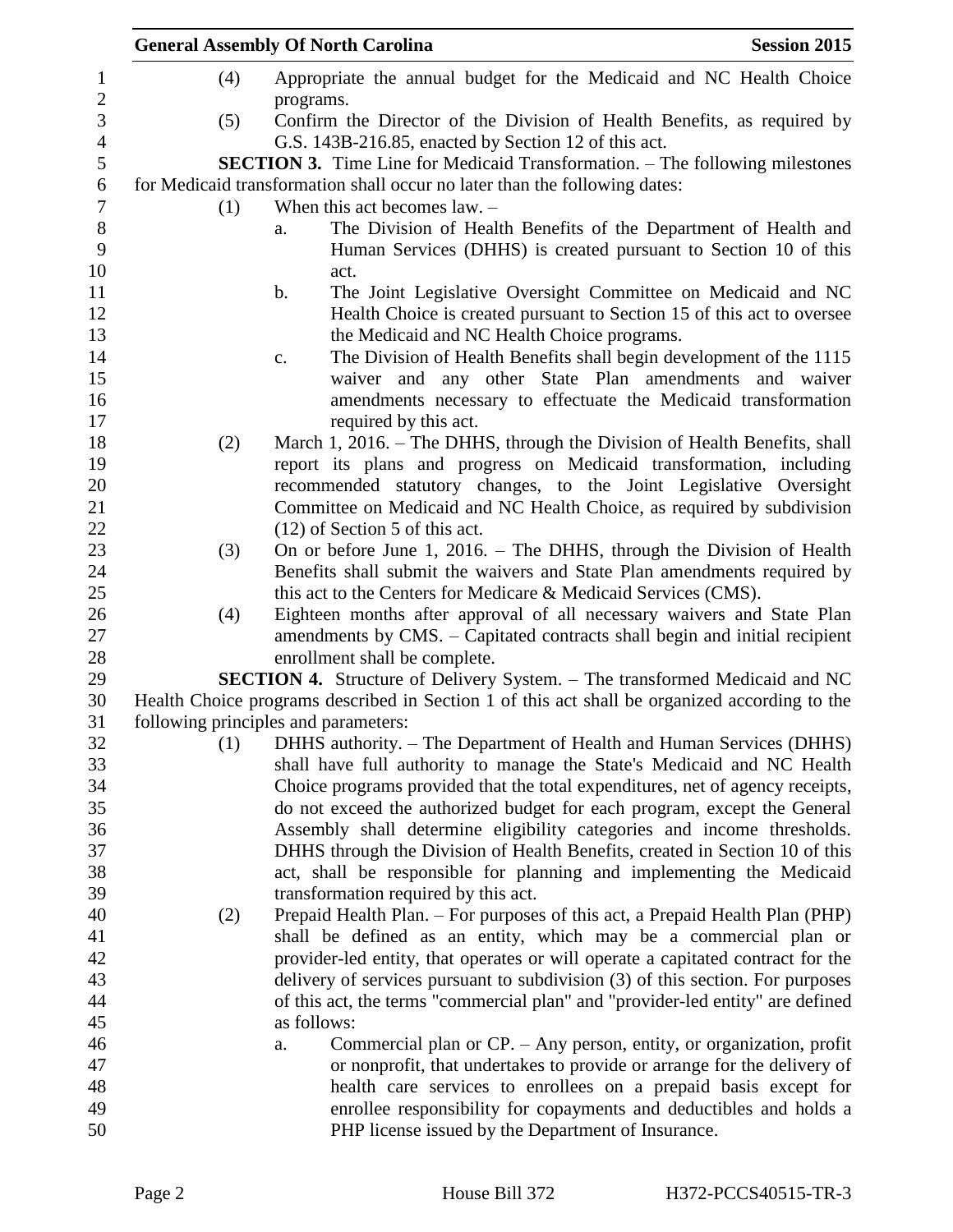|     | <b>General Assembly Of North Carolina</b><br><b>Session 2015</b>                                                                         |
|-----|------------------------------------------------------------------------------------------------------------------------------------------|
| (4) | Appropriate the annual budget for the Medicaid and NC Health Choice<br>programs.                                                         |
| (5) | Confirm the Director of the Division of Health Benefits, as required by<br>G.S. 143B-216.85, enacted by Section 12 of this act.          |
|     | <b>SECTION 3.</b> Time Line for Medicaid Transformation. – The following milestones                                                      |
|     | for Medicaid transformation shall occur no later than the following dates:                                                               |
| (1) | When this act becomes $law. -$                                                                                                           |
|     | The Division of Health Benefits of the Department of Health and<br>a.<br>Human Services (DHHS) is created pursuant to Section 10 of this |
|     | act.<br>The Joint Legislative Oversight Committee on Medicaid and NC<br>b.                                                               |
|     | Health Choice is created pursuant to Section 15 of this act to oversee                                                                   |
|     | the Medicaid and NC Health Choice programs.                                                                                              |
|     | The Division of Health Benefits shall begin development of the 1115<br>c.                                                                |
|     | waiver and any other State Plan amendments and waiver                                                                                    |
|     | amendments necessary to effectuate the Medicaid transformation                                                                           |
|     | required by this act.                                                                                                                    |
| (2) | March 1, 2016. – The DHHS, through the Division of Health Benefits, shall                                                                |
|     | report its plans and progress on Medicaid transformation, including                                                                      |
|     | recommended statutory changes, to the Joint Legislative Oversight                                                                        |
|     | Committee on Medicaid and NC Health Choice, as required by subdivision                                                                   |
|     | $(12)$ of Section 5 of this act.                                                                                                         |
| (3) | On or before June 1, 2016. – The DHHS, through the Division of Health                                                                    |
|     | Benefits shall submit the waivers and State Plan amendments required by                                                                  |
|     | this act to the Centers for Medicare & Medicaid Services (CMS).                                                                          |
| (4) | Eighteen months after approval of all necessary waivers and State Plan                                                                   |
|     | amendments by CMS. – Capitated contracts shall begin and initial recipient<br>enrollment shall be complete.                              |
|     | <b>SECTION 4.</b> Structure of Delivery System. – The transformed Medicaid and NC                                                        |
|     | Health Choice programs described in Section 1 of this act shall be organized according to the                                            |
|     | following principles and parameters:                                                                                                     |
| (1) | DHHS authority. – The Department of Health and Human Services (DHHS)                                                                     |
|     | shall have full authority to manage the State's Medicaid and NC Health                                                                   |
|     | Choice programs provided that the total expenditures, net of agency receipts,                                                            |
|     | do not exceed the authorized budget for each program, except the General                                                                 |
|     | Assembly shall determine eligibility categories and income thresholds.                                                                   |
|     | DHHS through the Division of Health Benefits, created in Section 10 of this                                                              |
|     | act, shall be responsible for planning and implementing the Medicaid                                                                     |
|     | transformation required by this act.                                                                                                     |
| (2) | Prepaid Health Plan. – For purposes of this act, a Prepaid Health Plan (PHP)                                                             |
|     | shall be defined as an entity, which may be a commercial plan or                                                                         |
|     | provider-led entity, that operates or will operate a capitated contract for the                                                          |
|     | delivery of services pursuant to subdivision (3) of this section. For purposes                                                           |
|     | of this act, the terms "commercial plan" and "provider-led entity" are defined<br>as follows:                                            |
|     | Commercial plan or CP. - Any person, entity, or organization, profit                                                                     |
|     | a.<br>or nonprofit, that undertakes to provide or arrange for the delivery of                                                            |
|     | health care services to enrollees on a prepaid basis except for                                                                          |
|     | enrollee responsibility for copayments and deductibles and holds a                                                                       |
|     | PHP license issued by the Department of Insurance.                                                                                       |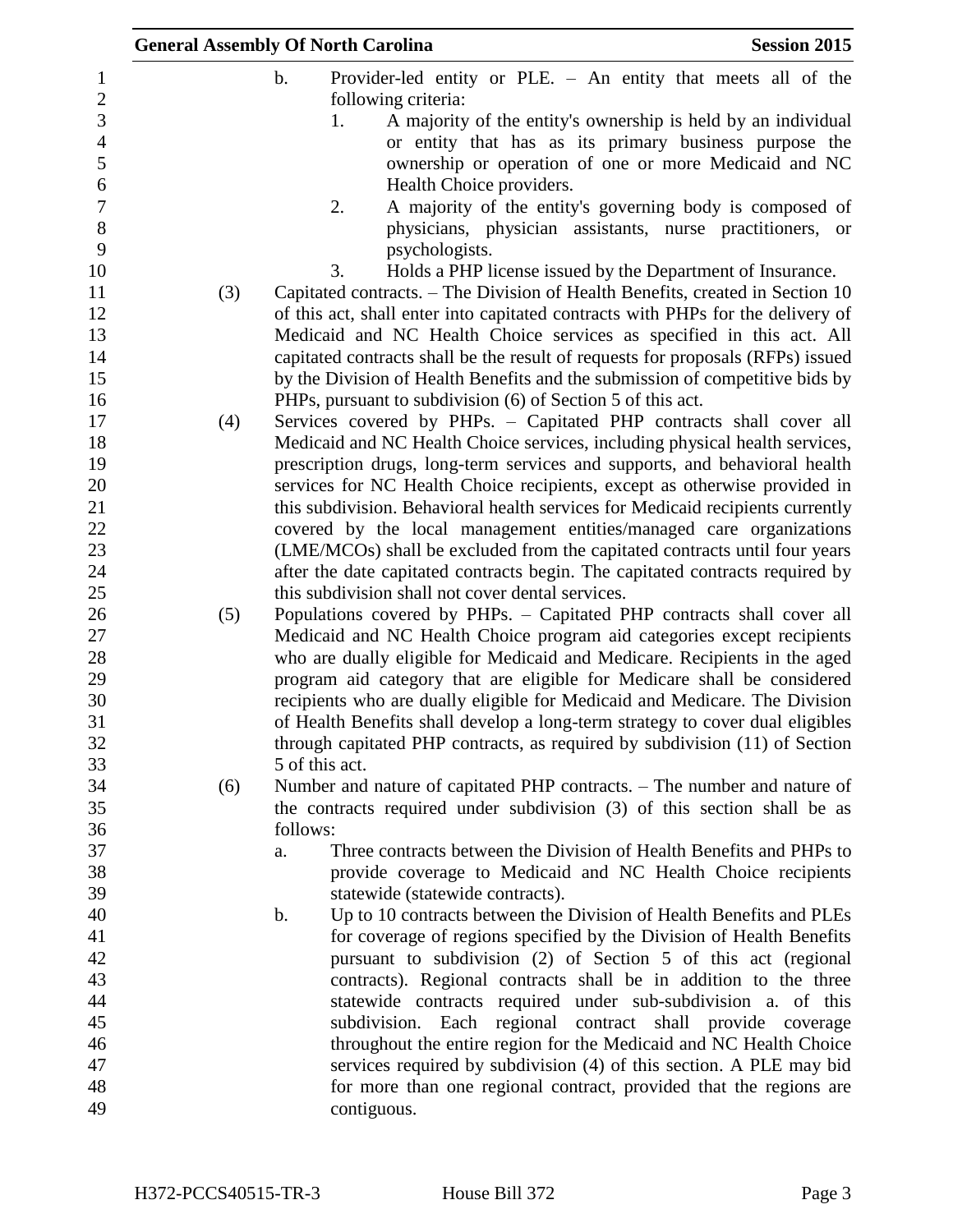|                              |     | <b>General Assembly Of North Carolina</b><br><b>Session 2015</b>                                                                 |
|------------------------------|-----|----------------------------------------------------------------------------------------------------------------------------------|
| $\mathbf{1}$                 |     | $\mathbf b$ .<br>Provider-led entity or PLE. - An entity that meets all of the                                                   |
| $\sqrt{2}$<br>$\overline{3}$ |     | following criteria:<br>A majority of the entity's ownership is held by an individual<br>1.                                       |
| $\overline{4}$               |     |                                                                                                                                  |
| 5                            |     | or entity that has as its primary business purpose the<br>ownership or operation of one or more Medicaid and NC                  |
| $\sqrt{6}$                   |     | Health Choice providers.                                                                                                         |
| $\overline{7}$               |     | 2.                                                                                                                               |
| $8\,$                        |     | A majority of the entity's governing body is composed of<br>physicians, physician assistants, nurse practitioners, or            |
| 9                            |     | psychologists.                                                                                                                   |
| 10                           |     | Holds a PHP license issued by the Department of Insurance.<br>3.                                                                 |
| 11                           | (3) | Capitated contracts. – The Division of Health Benefits, created in Section 10                                                    |
| 12                           |     | of this act, shall enter into capitated contracts with PHPs for the delivery of                                                  |
| 13                           |     | Medicaid and NC Health Choice services as specified in this act. All                                                             |
| 14                           |     | capitated contracts shall be the result of requests for proposals (RFPs) issued                                                  |
| 15                           |     | by the Division of Health Benefits and the submission of competitive bids by                                                     |
| 16                           |     | PHPs, pursuant to subdivision (6) of Section 5 of this act.                                                                      |
| 17                           | (4) | Services covered by PHPs. - Capitated PHP contracts shall cover all                                                              |
| 18                           |     | Medicaid and NC Health Choice services, including physical health services,                                                      |
| 19                           |     | prescription drugs, long-term services and supports, and behavioral health                                                       |
| 20                           |     | services for NC Health Choice recipients, except as otherwise provided in                                                        |
| 21                           |     | this subdivision. Behavioral health services for Medicaid recipients currently                                                   |
| 22                           |     | covered by the local management entities/managed care organizations                                                              |
| 23                           |     | (LME/MCOs) shall be excluded from the capitated contracts until four years                                                       |
| 24                           |     | after the date capitated contracts begin. The capitated contracts required by                                                    |
| 25                           |     | this subdivision shall not cover dental services.                                                                                |
| 26                           | (5) | Populations covered by PHPs. - Capitated PHP contracts shall cover all                                                           |
| 27                           |     | Medicaid and NC Health Choice program aid categories except recipients                                                           |
| 28                           |     | who are dually eligible for Medicaid and Medicare. Recipients in the aged                                                        |
| 29                           |     | program aid category that are eligible for Medicare shall be considered                                                          |
| 30                           |     | recipients who are dually eligible for Medicaid and Medicare. The Division                                                       |
| 31                           |     | of Health Benefits shall develop a long-term strategy to cover dual eligibles                                                    |
| 32                           |     | through capitated PHP contracts, as required by subdivision (11) of Section                                                      |
| 33                           |     | 5 of this act.                                                                                                                   |
| 34                           | (6) | Number and nature of capitated PHP contracts. - The number and nature of                                                         |
| 35                           |     | the contracts required under subdivision (3) of this section shall be as                                                         |
| 36                           |     | follows:                                                                                                                         |
| 37                           |     | Three contracts between the Division of Health Benefits and PHPs to<br>a.                                                        |
| 38                           |     | provide coverage to Medicaid and NC Health Choice recipients                                                                     |
| 39                           |     | statewide (statewide contracts).                                                                                                 |
| 40                           |     | Up to 10 contracts between the Division of Health Benefits and PLEs<br>$\mathbf b$ .                                             |
| 41                           |     | for coverage of regions specified by the Division of Health Benefits                                                             |
| 42                           |     | pursuant to subdivision (2) of Section 5 of this act (regional                                                                   |
| 43                           |     | contracts). Regional contracts shall be in addition to the three                                                                 |
| 44                           |     | statewide contracts required under sub-subdivision a. of this                                                                    |
| 45<br>46                     |     | subdivision. Each regional contract shall provide coverage<br>throughout the entire region for the Medicaid and NC Health Choice |
| 47                           |     | services required by subdivision (4) of this section. A PLE may bid                                                              |
| 48                           |     | for more than one regional contract, provided that the regions are                                                               |
| 49                           |     | contiguous.                                                                                                                      |
|                              |     |                                                                                                                                  |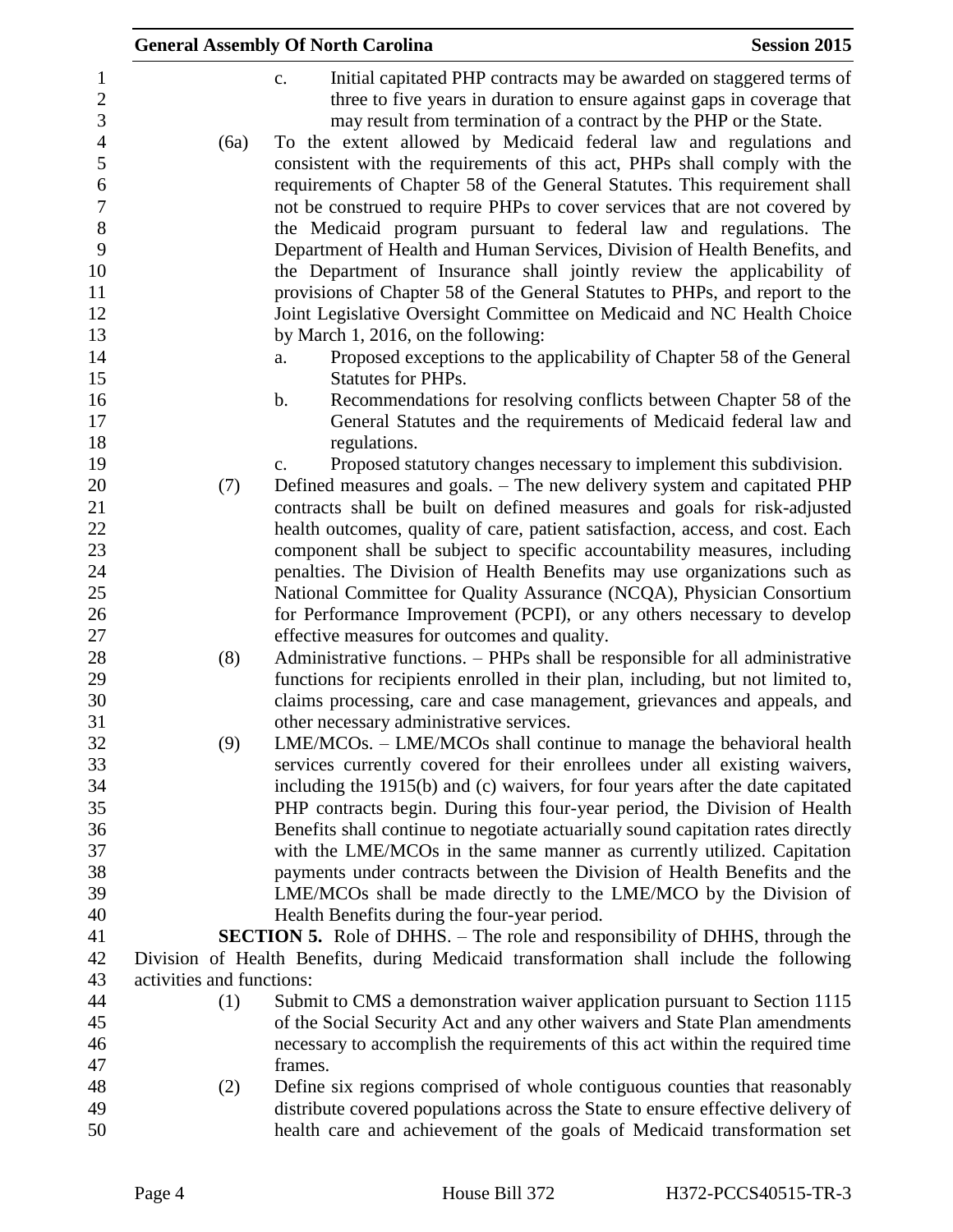|                                                   |                           | <b>General Assembly Of North Carolina</b>                                                                                                                                                                                                                                                        | <b>Session 2015</b> |
|---------------------------------------------------|---------------------------|--------------------------------------------------------------------------------------------------------------------------------------------------------------------------------------------------------------------------------------------------------------------------------------------------|---------------------|
| $\mathbf{1}$<br>$\sqrt{2}$<br>3<br>$\overline{4}$ | (6a)                      | Initial capitated PHP contracts may be awarded on staggered terms of<br>c.<br>three to five years in duration to ensure against gaps in coverage that<br>may result from termination of a contract by the PHP or the State.<br>To the extent allowed by Medicaid federal law and regulations and |                     |
| 5<br>6                                            |                           | consistent with the requirements of this act, PHPs shall comply with the<br>requirements of Chapter 58 of the General Statutes. This requirement shall                                                                                                                                           |                     |
| $\boldsymbol{7}$                                  |                           | not be construed to require PHPs to cover services that are not covered by                                                                                                                                                                                                                       |                     |
| $8\,$<br>9<br>10                                  |                           | the Medicaid program pursuant to federal law and regulations. The<br>Department of Health and Human Services, Division of Health Benefits, and<br>the Department of Insurance shall jointly review the applicability of                                                                          |                     |
| 11<br>12                                          |                           | provisions of Chapter 58 of the General Statutes to PHPs, and report to the<br>Joint Legislative Oversight Committee on Medicaid and NC Health Choice                                                                                                                                            |                     |
| 13                                                |                           | by March 1, 2016, on the following:                                                                                                                                                                                                                                                              |                     |
| 14<br>15                                          |                           | Proposed exceptions to the applicability of Chapter 58 of the General<br>a.<br><b>Statutes for PHPs.</b>                                                                                                                                                                                         |                     |
| 16<br>17                                          |                           | Recommendations for resolving conflicts between Chapter 58 of the<br>b.<br>General Statutes and the requirements of Medicaid federal law and                                                                                                                                                     |                     |
| 18                                                |                           | regulations.                                                                                                                                                                                                                                                                                     |                     |
| 19                                                |                           | Proposed statutory changes necessary to implement this subdivision.<br>c.                                                                                                                                                                                                                        |                     |
| 20                                                | (7)                       | Defined measures and goals. – The new delivery system and capitated PHP                                                                                                                                                                                                                          |                     |
| 21                                                |                           | contracts shall be built on defined measures and goals for risk-adjusted                                                                                                                                                                                                                         |                     |
| 22                                                |                           | health outcomes, quality of care, patient satisfaction, access, and cost. Each                                                                                                                                                                                                                   |                     |
| 23                                                |                           | component shall be subject to specific accountability measures, including                                                                                                                                                                                                                        |                     |
| 24<br>25                                          |                           | penalties. The Division of Health Benefits may use organizations such as<br>National Committee for Quality Assurance (NCQA), Physician Consortium                                                                                                                                                |                     |
| 26                                                |                           | for Performance Improvement (PCPI), or any others necessary to develop                                                                                                                                                                                                                           |                     |
| 27<br>28                                          |                           | effective measures for outcomes and quality.                                                                                                                                                                                                                                                     |                     |
| 29                                                | (8)                       | Administrative functions. – PHPs shall be responsible for all administrative<br>functions for recipients enrolled in their plan, including, but not limited to,                                                                                                                                  |                     |
| 30                                                |                           | claims processing, care and case management, grievances and appeals, and                                                                                                                                                                                                                         |                     |
| 31                                                |                           | other necessary administrative services.                                                                                                                                                                                                                                                         |                     |
| 32                                                | (9)                       | LME/MCOs. – LME/MCOs shall continue to manage the behavioral health                                                                                                                                                                                                                              |                     |
| 33                                                |                           | services currently covered for their enrollees under all existing waivers,                                                                                                                                                                                                                       |                     |
| 34<br>35                                          |                           | including the 1915(b) and (c) waivers, for four years after the date capitated                                                                                                                                                                                                                   |                     |
| 36                                                |                           | PHP contracts begin. During this four-year period, the Division of Health<br>Benefits shall continue to negotiate actuarially sound capitation rates directly                                                                                                                                    |                     |
| 37                                                |                           | with the LME/MCOs in the same manner as currently utilized. Capitation                                                                                                                                                                                                                           |                     |
| 38                                                |                           | payments under contracts between the Division of Health Benefits and the                                                                                                                                                                                                                         |                     |
| 39                                                |                           | LME/MCOs shall be made directly to the LME/MCO by the Division of                                                                                                                                                                                                                                |                     |
| 40                                                |                           | Health Benefits during the four-year period.                                                                                                                                                                                                                                                     |                     |
| 41                                                |                           | <b>SECTION 5.</b> Role of DHHS. – The role and responsibility of DHHS, through the                                                                                                                                                                                                               |                     |
| 42                                                |                           | Division of Health Benefits, during Medicaid transformation shall include the following                                                                                                                                                                                                          |                     |
| 43                                                | activities and functions: |                                                                                                                                                                                                                                                                                                  |                     |
| 44                                                | (1)                       | Submit to CMS a demonstration waiver application pursuant to Section 1115                                                                                                                                                                                                                        |                     |
| 45                                                |                           | of the Social Security Act and any other waivers and State Plan amendments                                                                                                                                                                                                                       |                     |
| 46                                                |                           | necessary to accomplish the requirements of this act within the required time                                                                                                                                                                                                                    |                     |
| 47                                                |                           | frames.                                                                                                                                                                                                                                                                                          |                     |
| 48                                                | (2)                       | Define six regions comprised of whole contiguous counties that reasonably                                                                                                                                                                                                                        |                     |
| 49<br>50                                          |                           | distribute covered populations across the State to ensure effective delivery of<br>health care and achievement of the goals of Medicaid transformation set                                                                                                                                       |                     |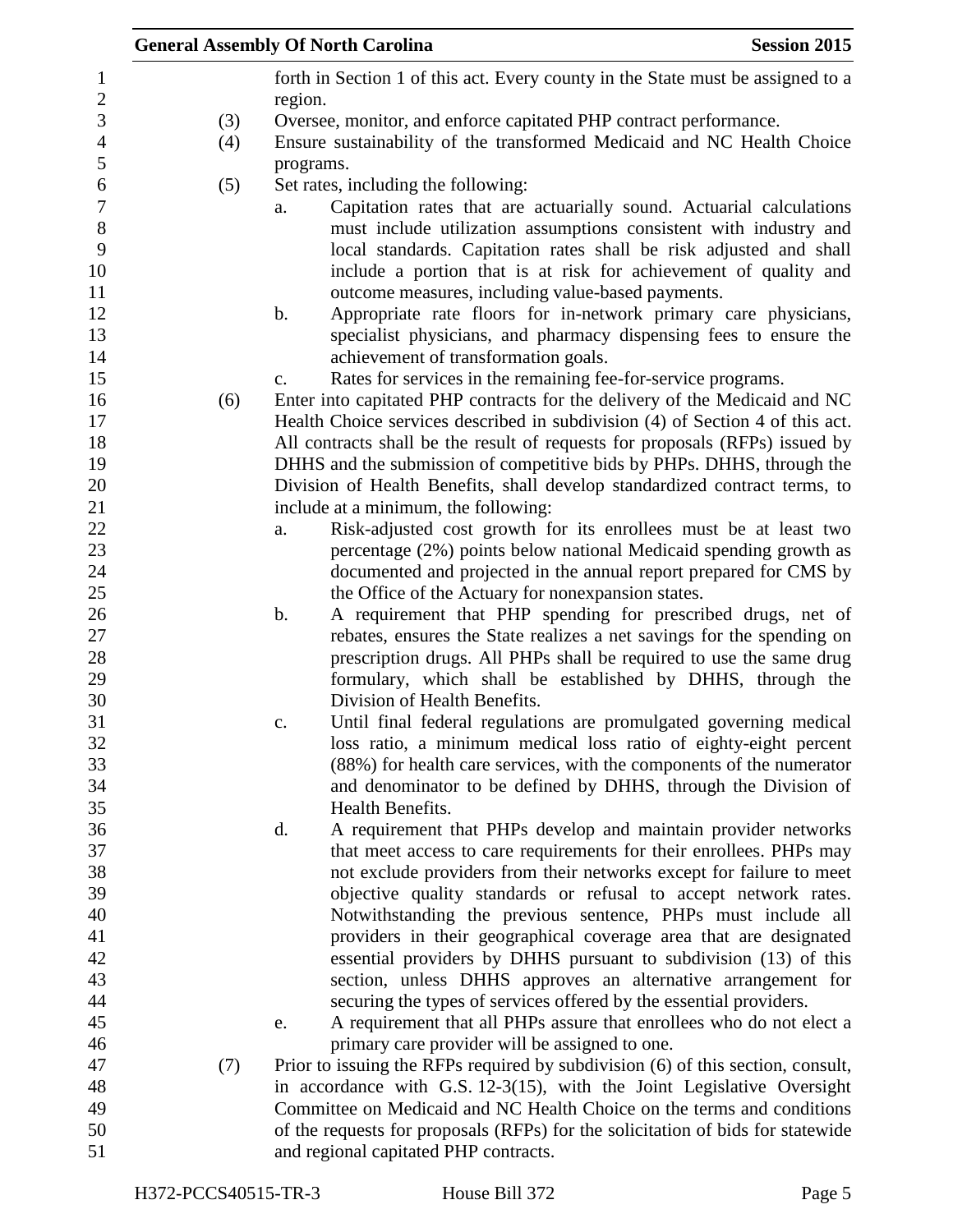|                                    |     | <b>General Assembly Of North Carolina</b><br><b>Session 2015</b>                                                                                                                                                                                                                         |
|------------------------------------|-----|------------------------------------------------------------------------------------------------------------------------------------------------------------------------------------------------------------------------------------------------------------------------------------------|
| $\mathbf{1}$<br>$\boldsymbol{2}$   |     | forth in Section 1 of this act. Every county in the State must be assigned to a<br>region.                                                                                                                                                                                               |
| $\mathfrak{Z}$                     | (3) | Oversee, monitor, and enforce capitated PHP contract performance.                                                                                                                                                                                                                        |
| $\overline{4}$                     | (4) | Ensure sustainability of the transformed Medicaid and NC Health Choice                                                                                                                                                                                                                   |
| 5                                  |     | programs.                                                                                                                                                                                                                                                                                |
| 6                                  | (5) | Set rates, including the following:                                                                                                                                                                                                                                                      |
| $\overline{7}$<br>$8\,$<br>9<br>10 |     | Capitation rates that are actuarially sound. Actuarial calculations<br>a.<br>must include utilization assumptions consistent with industry and<br>local standards. Capitation rates shall be risk adjusted and shall<br>include a portion that is at risk for achievement of quality and |
| 11                                 |     | outcome measures, including value-based payments.                                                                                                                                                                                                                                        |
| 12                                 |     | Appropriate rate floors for in-network primary care physicians,<br>b.                                                                                                                                                                                                                    |
| 13<br>14                           |     | specialist physicians, and pharmacy dispensing fees to ensure the<br>achievement of transformation goals.                                                                                                                                                                                |
| 15                                 |     | Rates for services in the remaining fee-for-service programs.<br>c.                                                                                                                                                                                                                      |
| 16                                 | (6) | Enter into capitated PHP contracts for the delivery of the Medicaid and NC                                                                                                                                                                                                               |
| 17                                 |     | Health Choice services described in subdivision (4) of Section 4 of this act.                                                                                                                                                                                                            |
| 18                                 |     | All contracts shall be the result of requests for proposals (RFPs) issued by                                                                                                                                                                                                             |
| 19                                 |     | DHHS and the submission of competitive bids by PHPs. DHHS, through the                                                                                                                                                                                                                   |
| 20<br>21                           |     | Division of Health Benefits, shall develop standardized contract terms, to                                                                                                                                                                                                               |
| 22                                 |     | include at a minimum, the following:<br>Risk-adjusted cost growth for its enrollees must be at least two                                                                                                                                                                                 |
| 23                                 |     | a.<br>percentage (2%) points below national Medicaid spending growth as                                                                                                                                                                                                                  |
| 24                                 |     | documented and projected in the annual report prepared for CMS by                                                                                                                                                                                                                        |
| 25                                 |     | the Office of the Actuary for nonexpansion states.                                                                                                                                                                                                                                       |
| 26                                 |     | A requirement that PHP spending for prescribed drugs, net of<br>$\mathbf b$ .                                                                                                                                                                                                            |
| 27                                 |     | rebates, ensures the State realizes a net savings for the spending on                                                                                                                                                                                                                    |
| 28                                 |     | prescription drugs. All PHPs shall be required to use the same drug                                                                                                                                                                                                                      |
| 29                                 |     | formulary, which shall be established by DHHS, through the                                                                                                                                                                                                                               |
| 30                                 |     | Division of Health Benefits.                                                                                                                                                                                                                                                             |
| 31                                 |     | Until final federal regulations are promulgated governing medical<br>c.                                                                                                                                                                                                                  |
| 32                                 |     | loss ratio, a minimum medical loss ratio of eighty-eight percent                                                                                                                                                                                                                         |
| 33                                 |     | (88%) for health care services, with the components of the numerator                                                                                                                                                                                                                     |
| 34                                 |     | and denominator to be defined by DHHS, through the Division of                                                                                                                                                                                                                           |
| 35                                 |     | Health Benefits.                                                                                                                                                                                                                                                                         |
| 36                                 |     | A requirement that PHPs develop and maintain provider networks<br>$\mathbf{d}$ .                                                                                                                                                                                                         |
| 37                                 |     | that meet access to care requirements for their enrollees. PHPs may                                                                                                                                                                                                                      |
| 38                                 |     | not exclude providers from their networks except for failure to meet                                                                                                                                                                                                                     |
| 39                                 |     | objective quality standards or refusal to accept network rates.                                                                                                                                                                                                                          |
| 40<br>41                           |     | Notwithstanding the previous sentence, PHPs must include all                                                                                                                                                                                                                             |
| 42                                 |     | providers in their geographical coverage area that are designated<br>essential providers by DHHS pursuant to subdivision (13) of this                                                                                                                                                    |
| 43                                 |     | section, unless DHHS approves an alternative arrangement for                                                                                                                                                                                                                             |
| 44                                 |     | securing the types of services offered by the essential providers.                                                                                                                                                                                                                       |
| 45                                 |     | A requirement that all PHPs assure that enrollees who do not elect a<br>e.                                                                                                                                                                                                               |
| 46                                 |     | primary care provider will be assigned to one.                                                                                                                                                                                                                                           |
| 47                                 | (7) | Prior to issuing the RFPs required by subdivision (6) of this section, consult,                                                                                                                                                                                                          |
| 48                                 |     | in accordance with G.S. 12-3(15), with the Joint Legislative Oversight                                                                                                                                                                                                                   |
| 49                                 |     | Committee on Medicaid and NC Health Choice on the terms and conditions                                                                                                                                                                                                                   |
| 50                                 |     | of the requests for proposals (RFPs) for the solicitation of bids for statewide                                                                                                                                                                                                          |
| 51                                 |     | and regional capitated PHP contracts.                                                                                                                                                                                                                                                    |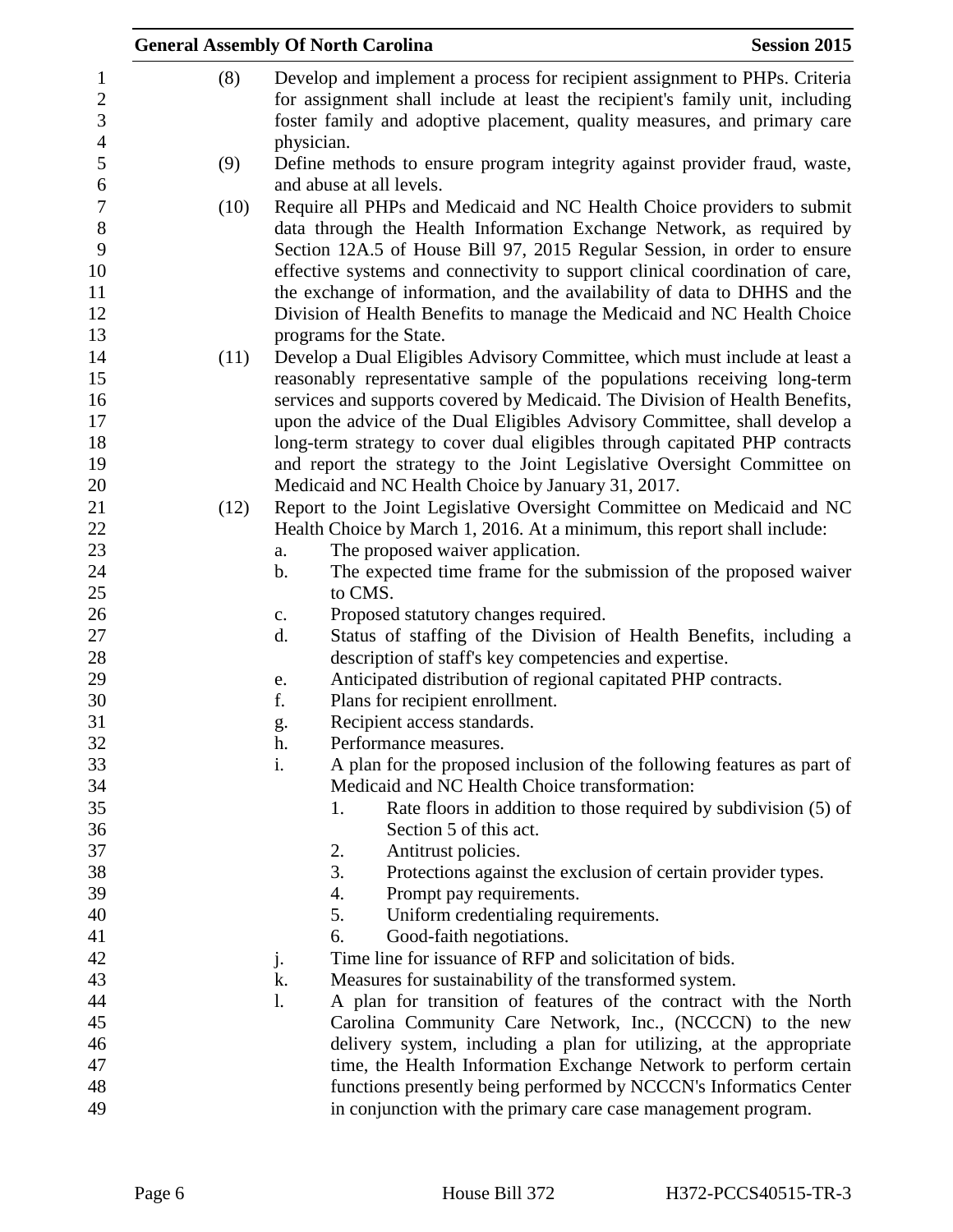|      | <b>General Assembly Of North Carolina</b>                                                                                                                                                                                                            | <b>Session 2015</b> |
|------|------------------------------------------------------------------------------------------------------------------------------------------------------------------------------------------------------------------------------------------------------|---------------------|
| (8)  | Develop and implement a process for recipient assignment to PHPs. Criteria<br>for assignment shall include at least the recipient's family unit, including<br>foster family and adoptive placement, quality measures, and primary care<br>physician. |                     |
| (9)  | Define methods to ensure program integrity against provider fraud, waste,<br>and abuse at all levels.                                                                                                                                                |                     |
| (10) | Require all PHPs and Medicaid and NC Health Choice providers to submit                                                                                                                                                                               |                     |
|      | data through the Health Information Exchange Network, as required by                                                                                                                                                                                 |                     |
|      | Section 12A.5 of House Bill 97, 2015 Regular Session, in order to ensure                                                                                                                                                                             |                     |
|      | effective systems and connectivity to support clinical coordination of care,                                                                                                                                                                         |                     |
|      | the exchange of information, and the availability of data to DHHS and the                                                                                                                                                                            |                     |
|      | Division of Health Benefits to manage the Medicaid and NC Health Choice                                                                                                                                                                              |                     |
| (11) | programs for the State.<br>Develop a Dual Eligibles Advisory Committee, which must include at least a                                                                                                                                                |                     |
|      | reasonably representative sample of the populations receiving long-term                                                                                                                                                                              |                     |
|      | services and supports covered by Medicaid. The Division of Health Benefits,                                                                                                                                                                          |                     |
|      | upon the advice of the Dual Eligibles Advisory Committee, shall develop a                                                                                                                                                                            |                     |
|      | long-term strategy to cover dual eligibles through capitated PHP contracts                                                                                                                                                                           |                     |
|      | and report the strategy to the Joint Legislative Oversight Committee on                                                                                                                                                                              |                     |
|      | Medicaid and NC Health Choice by January 31, 2017.                                                                                                                                                                                                   |                     |
| (12) | Report to the Joint Legislative Oversight Committee on Medicaid and NC                                                                                                                                                                               |                     |
|      | Health Choice by March 1, 2016. At a minimum, this report shall include:                                                                                                                                                                             |                     |
|      | The proposed waiver application.<br>a.                                                                                                                                                                                                               |                     |
|      | The expected time frame for the submission of the proposed waiver<br>$\mathbf b$ .<br>to CMS.                                                                                                                                                        |                     |
|      | Proposed statutory changes required.<br>$\mathbf{c}$ .                                                                                                                                                                                               |                     |
|      | Status of staffing of the Division of Health Benefits, including a<br>d.                                                                                                                                                                             |                     |
|      | description of staff's key competencies and expertise.                                                                                                                                                                                               |                     |
|      | Anticipated distribution of regional capitated PHP contracts.<br>e.                                                                                                                                                                                  |                     |
|      | f.<br>Plans for recipient enrollment.                                                                                                                                                                                                                |                     |
|      | Recipient access standards.<br>g.                                                                                                                                                                                                                    |                     |
|      | h.<br>Performance measures.                                                                                                                                                                                                                          |                     |
|      | i.<br>A plan for the proposed inclusion of the following features as part of                                                                                                                                                                         |                     |
|      | Medicaid and NC Health Choice transformation:                                                                                                                                                                                                        |                     |
|      | Rate floors in addition to those required by subdivision (5) of<br>1.                                                                                                                                                                                |                     |
|      | Section 5 of this act.                                                                                                                                                                                                                               |                     |
|      | 2.<br>Antitrust policies.<br>3.<br>Protections against the exclusion of certain provider types.                                                                                                                                                      |                     |
|      | Prompt pay requirements.<br>4.                                                                                                                                                                                                                       |                     |
|      | 5.<br>Uniform credentialing requirements.                                                                                                                                                                                                            |                     |
|      | Good-faith negotiations.<br>6.                                                                                                                                                                                                                       |                     |
|      | Time line for issuance of RFP and solicitation of bids.<br>j.                                                                                                                                                                                        |                     |
|      | k.<br>Measures for sustainability of the transformed system.                                                                                                                                                                                         |                     |
|      | A plan for transition of features of the contract with the North<br>1.                                                                                                                                                                               |                     |
|      | Carolina Community Care Network, Inc., (NCCCN) to the new                                                                                                                                                                                            |                     |
|      | delivery system, including a plan for utilizing, at the appropriate                                                                                                                                                                                  |                     |
|      | time, the Health Information Exchange Network to perform certain                                                                                                                                                                                     |                     |
|      | functions presently being performed by NCCCN's Informatics Center                                                                                                                                                                                    |                     |
|      | in conjunction with the primary care case management program.                                                                                                                                                                                        |                     |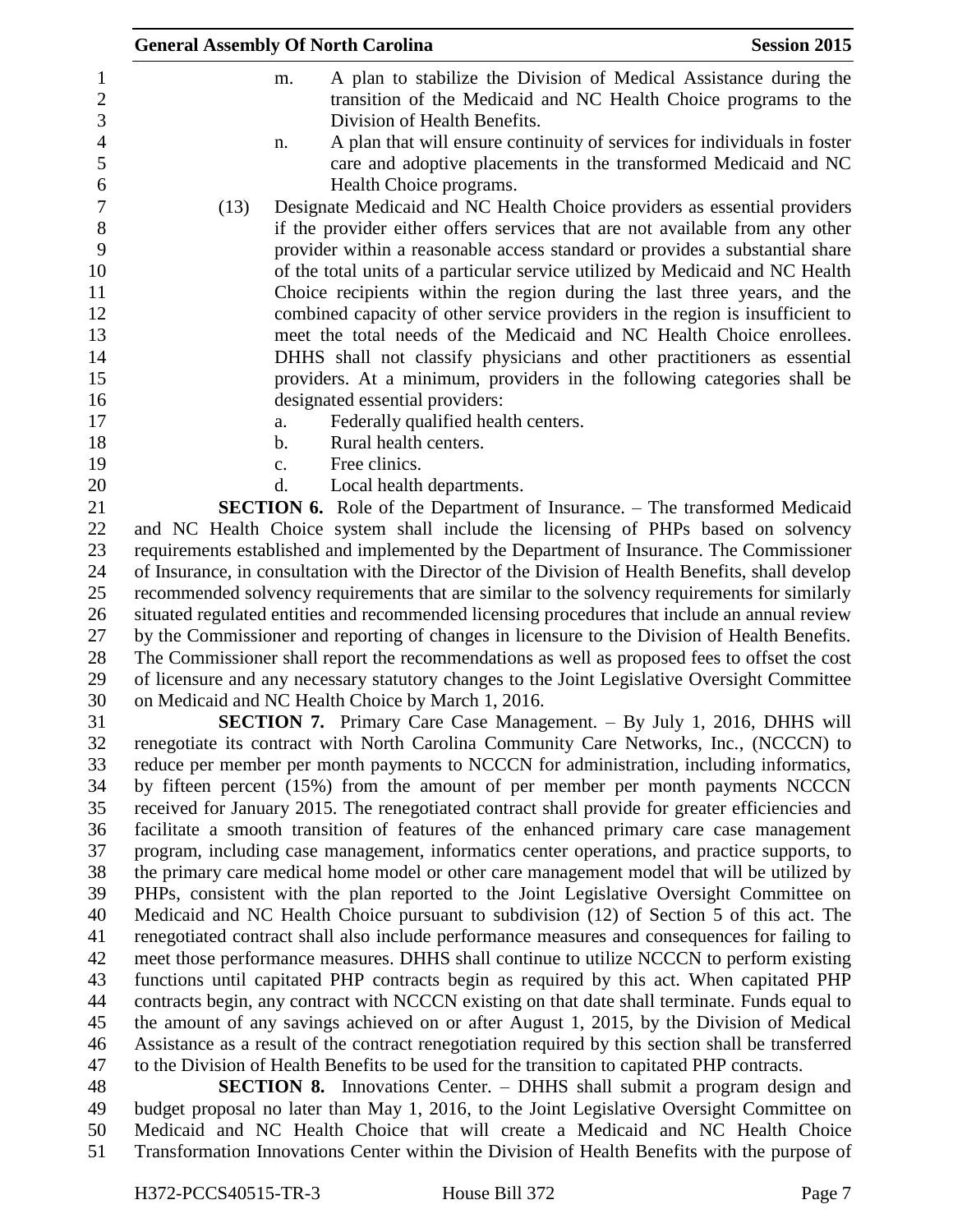| <b>General Assembly Of North Carolina</b>                                                                                                                                                 | <b>Session 2015</b> |
|-------------------------------------------------------------------------------------------------------------------------------------------------------------------------------------------|---------------------|
| A plan to stabilize the Division of Medical Assistance during the<br>m.<br>transition of the Medicaid and NC Health Choice programs to the<br>Division of Health Benefits.                |                     |
| A plan that will ensure continuity of services for individuals in foster<br>n.<br>care and adoptive placements in the transformed Medicaid and NC<br>Health Choice programs.              |                     |
| Designate Medicaid and NC Health Choice providers as essential providers<br>(13)                                                                                                          |                     |
| if the provider either offers services that are not available from any other                                                                                                              |                     |
| provider within a reasonable access standard or provides a substantial share                                                                                                              |                     |
| of the total units of a particular service utilized by Medicaid and NC Health                                                                                                             |                     |
| Choice recipients within the region during the last three years, and the                                                                                                                  |                     |
| combined capacity of other service providers in the region is insufficient to                                                                                                             |                     |
| meet the total needs of the Medicaid and NC Health Choice enrollees.                                                                                                                      |                     |
| DHHS shall not classify physicians and other practitioners as essential                                                                                                                   |                     |
| providers. At a minimum, providers in the following categories shall be                                                                                                                   |                     |
| designated essential providers:                                                                                                                                                           |                     |
| Federally qualified health centers.<br>a.<br>Rural health centers.<br>b.                                                                                                                  |                     |
| Free clinics.<br>$\mathbf{c}$ .                                                                                                                                                           |                     |
| Local health departments.<br>d.                                                                                                                                                           |                     |
| <b>SECTION 6.</b> Role of the Department of Insurance. – The transformed Medicaid                                                                                                         |                     |
| and NC Health Choice system shall include the licensing of PHPs based on solvency                                                                                                         |                     |
| requirements established and implemented by the Department of Insurance. The Commissioner                                                                                                 |                     |
| of Insurance, in consultation with the Director of the Division of Health Benefits, shall develop                                                                                         |                     |
| recommended solvency requirements that are similar to the solvency requirements for similarly                                                                                             |                     |
| situated regulated entities and recommended licensing procedures that include an annual review                                                                                            |                     |
| by the Commissioner and reporting of changes in licensure to the Division of Health Benefits.                                                                                             |                     |
| The Commissioner shall report the recommendations as well as proposed fees to offset the cost                                                                                             |                     |
| of licensure and any necessary statutory changes to the Joint Legislative Oversight Committee<br>on Medicaid and NC Health Choice by March 1, 2016.                                       |                     |
| <b>SECTION 7.</b> Primary Care Case Management. – By July 1, 2016, DHHS will                                                                                                              |                     |
| renegotiate its contract with North Carolina Community Care Networks, Inc., (NCCCN) to                                                                                                    |                     |
| reduce per member per month payments to NCCCN for administration, including informatics,                                                                                                  |                     |
| by fifteen percent (15%) from the amount of per member per month payments NCCCN                                                                                                           |                     |
| received for January 2015. The renegotiated contract shall provide for greater efficiencies and                                                                                           |                     |
| facilitate a smooth transition of features of the enhanced primary care case management                                                                                                   |                     |
| program, including case management, informatics center operations, and practice supports, to                                                                                              |                     |
| the primary care medical home model or other care management model that will be utilized by                                                                                               |                     |
| PHPs, consistent with the plan reported to the Joint Legislative Oversight Committee on                                                                                                   |                     |
| Medicaid and NC Health Choice pursuant to subdivision (12) of Section 5 of this act. The<br>renegotiated contract shall also include performance measures and consequences for failing to |                     |
| meet those performance measures. DHHS shall continue to utilize NCCCN to perform existing                                                                                                 |                     |
| functions until capitated PHP contracts begin as required by this act. When capitated PHP                                                                                                 |                     |
| contracts begin, any contract with NCCCN existing on that date shall terminate. Funds equal to                                                                                            |                     |
| the amount of any savings achieved on or after August 1, 2015, by the Division of Medical                                                                                                 |                     |
| Assistance as a result of the contract renegotiation required by this section shall be transferred                                                                                        |                     |
| to the Division of Health Benefits to be used for the transition to capitated PHP contracts.                                                                                              |                     |
| <b>SECTION 8.</b> Innovations Center. – DHHS shall submit a program design and                                                                                                            |                     |

 budget proposal no later than May 1, 2016, to the Joint Legislative Oversight Committee on Medicaid and NC Health Choice that will create a Medicaid and NC Health Choice 51 Transformation Innovations Center within the Division of Health Benefits with the purpose of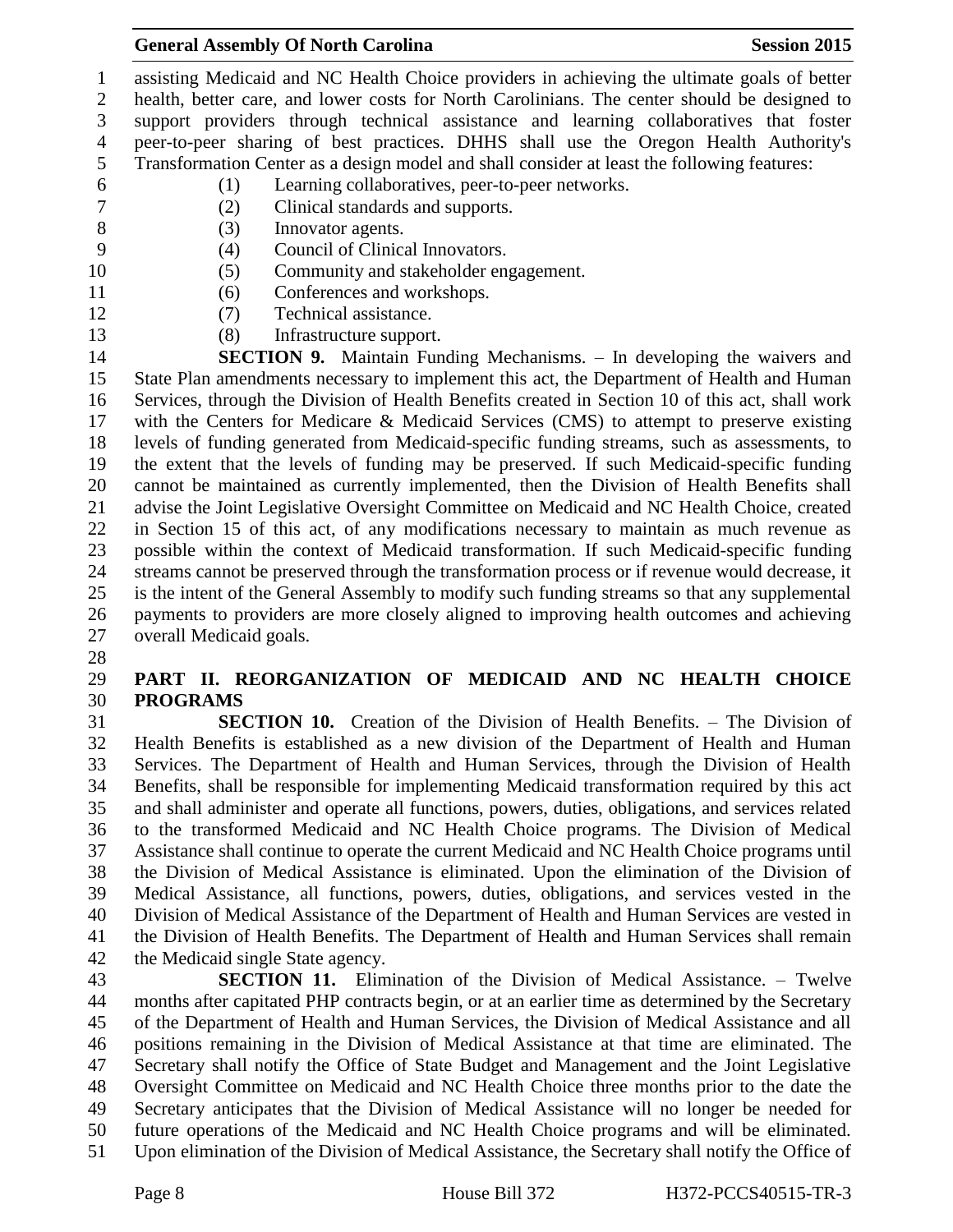#### **General Assembly Of North Carolina Session 2015**

 assisting Medicaid and NC Health Choice providers in achieving the ultimate goals of better health, better care, and lower costs for North Carolinians. The center should be designed to support providers through technical assistance and learning collaboratives that foster peer-to-peer sharing of best practices. DHHS shall use the Oregon Health Authority's Transformation Center as a design model and shall consider at least the following features: (1) Learning collaboratives, peer-to-peer networks. (2) Clinical standards and supports. (3) Innovator agents. (4) Council of Clinical Innovators.

- (5) Community and stakeholder engagement.
- (6) Conferences and workshops.
- 
- (7) Technical assistance.
- (8) Infrastructure support.

 **SECTION 9.** Maintain Funding Mechanisms. – In developing the waivers and State Plan amendments necessary to implement this act, the Department of Health and Human Services, through the Division of Health Benefits created in Section 10 of this act, shall work with the Centers for Medicare & Medicaid Services (CMS) to attempt to preserve existing levels of funding generated from Medicaid-specific funding streams, such as assessments, to the extent that the levels of funding may be preserved. If such Medicaid-specific funding cannot be maintained as currently implemented, then the Division of Health Benefits shall advise the Joint Legislative Oversight Committee on Medicaid and NC Health Choice, created in Section 15 of this act, of any modifications necessary to maintain as much revenue as possible within the context of Medicaid transformation. If such Medicaid-specific funding streams cannot be preserved through the transformation process or if revenue would decrease, it is the intent of the General Assembly to modify such funding streams so that any supplemental payments to providers are more closely aligned to improving health outcomes and achieving overall Medicaid goals.

## **PART II. REORGANIZATION OF MEDICAID AND NC HEALTH CHOICE PROGRAMS**

 **SECTION 10.** Creation of the Division of Health Benefits. – The Division of Health Benefits is established as a new division of the Department of Health and Human Services. The Department of Health and Human Services, through the Division of Health Benefits, shall be responsible for implementing Medicaid transformation required by this act and shall administer and operate all functions, powers, duties, obligations, and services related to the transformed Medicaid and NC Health Choice programs. The Division of Medical Assistance shall continue to operate the current Medicaid and NC Health Choice programs until the Division of Medical Assistance is eliminated. Upon the elimination of the Division of Medical Assistance, all functions, powers, duties, obligations, and services vested in the Division of Medical Assistance of the Department of Health and Human Services are vested in the Division of Health Benefits. The Department of Health and Human Services shall remain the Medicaid single State agency.

 **SECTION 11.** Elimination of the Division of Medical Assistance. – Twelve months after capitated PHP contracts begin, or at an earlier time as determined by the Secretary of the Department of Health and Human Services, the Division of Medical Assistance and all positions remaining in the Division of Medical Assistance at that time are eliminated. The Secretary shall notify the Office of State Budget and Management and the Joint Legislative Oversight Committee on Medicaid and NC Health Choice three months prior to the date the Secretary anticipates that the Division of Medical Assistance will no longer be needed for future operations of the Medicaid and NC Health Choice programs and will be eliminated. Upon elimination of the Division of Medical Assistance, the Secretary shall notify the Office of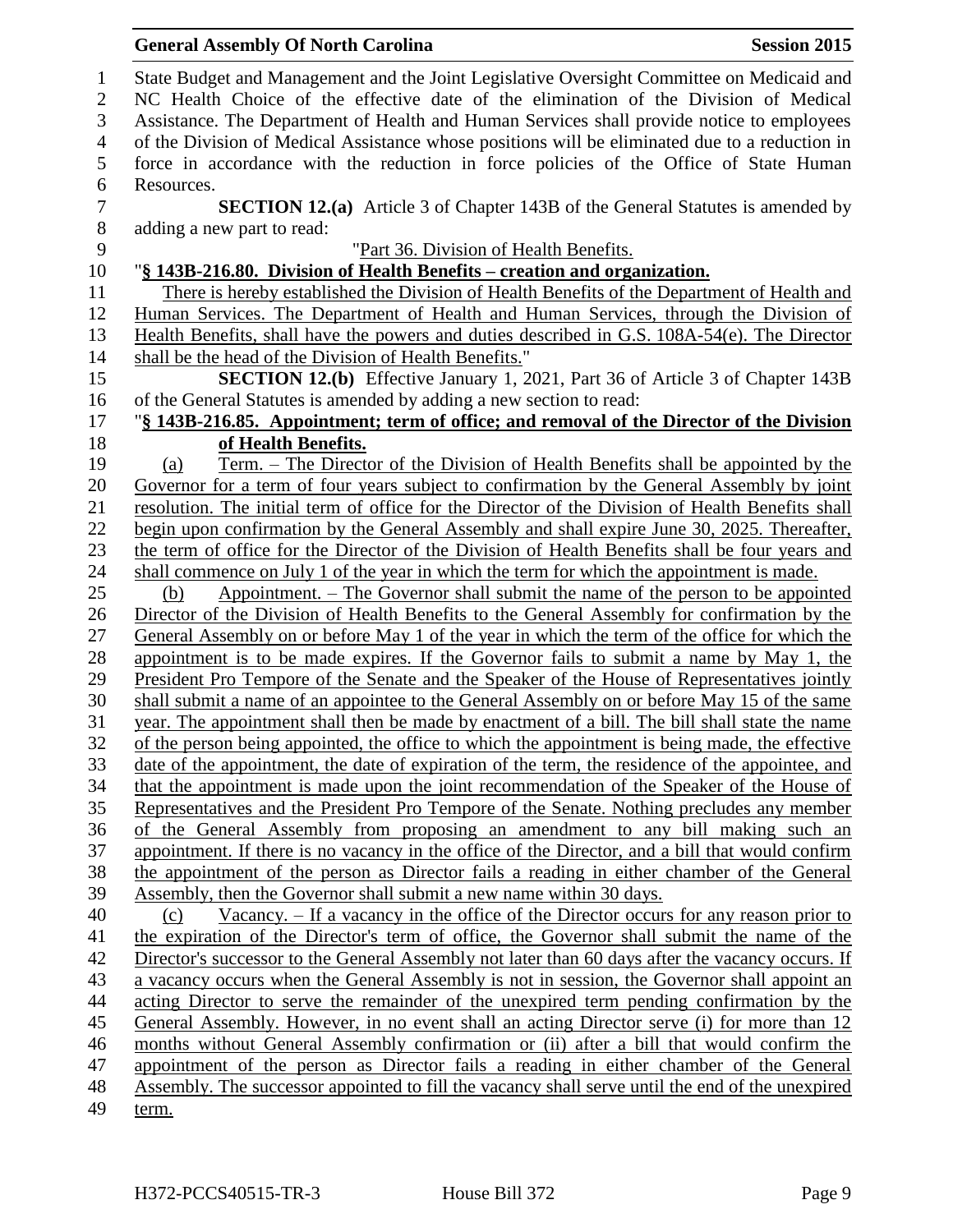|                  | <b>General Assembly Of North Carolina</b>                                                                       | <b>Session 2015</b> |
|------------------|-----------------------------------------------------------------------------------------------------------------|---------------------|
| $\mathbf{1}$     | State Budget and Management and the Joint Legislative Oversight Committee on Medicaid and                       |                     |
| $\mathbf{2}$     | NC Health Choice of the effective date of the elimination of the Division of Medical                            |                     |
| 3                | Assistance. The Department of Health and Human Services shall provide notice to employees                       |                     |
| $\overline{4}$   | of the Division of Medical Assistance whose positions will be eliminated due to a reduction in                  |                     |
| 5                | force in accordance with the reduction in force policies of the Office of State Human                           |                     |
| 6                | Resources.                                                                                                      |                     |
| $\boldsymbol{7}$ | <b>SECTION 12.(a)</b> Article 3 of Chapter 143B of the General Statutes is amended by                           |                     |
| $8\,$            | adding a new part to read:                                                                                      |                     |
| 9                | "Part 36. Division of Health Benefits.                                                                          |                     |
| 10               | "§ 143B-216.80. Division of Health Benefits – creation and organization.                                        |                     |
| 11               | There is hereby established the Division of Health Benefits of the Department of Health and                     |                     |
| 12               | Human Services. The Department of Health and Human Services, through the Division of                            |                     |
| 13               | Health Benefits, shall have the powers and duties described in G.S. 108A-54(e). The Director                    |                     |
| 14               | shall be the head of the Division of Health Benefits."                                                          |                     |
| 15               | SECTION 12.(b) Effective January 1, 2021, Part 36 of Article 3 of Chapter 143B                                  |                     |
| 16               | of the General Statutes is amended by adding a new section to read:                                             |                     |
| 17               | "§ 143B-216.85. Appointment; term of office; and removal of the Director of the Division                        |                     |
| 18               | of Health Benefits.<br><u>Term. – The Director of the Division of Health Benefits shall be appointed by the</u> |                     |
| 19<br>20         | (a)<br>Governor for a term of four years subject to confirmation by the General Assembly by joint               |                     |
| 21               | resolution. The initial term of office for the Director of the Division of Health Benefits shall                |                     |
| 22               | begin upon confirmation by the General Assembly and shall expire June 30, 2025. Thereafter,                     |                     |
| 23               | the term of office for the Director of the Division of Health Benefits shall be four years and                  |                     |
| 24               | shall commence on July 1 of the year in which the term for which the appointment is made.                       |                     |
| 25               | Appointment. – The Governor shall submit the name of the person to be appointed<br>(b)                          |                     |
| 26               | Director of the Division of Health Benefits to the General Assembly for confirmation by the                     |                     |
| 27               | General Assembly on or before May 1 of the year in which the term of the office for which the                   |                     |
| 28               | appointment is to be made expires. If the Governor fails to submit a name by May 1, the                         |                     |
| 29               | President Pro Tempore of the Senate and the Speaker of the House of Representatives jointly                     |                     |
| 30               | shall submit a name of an appointee to the General Assembly on or before May 15 of the same                     |                     |
| 31               | year. The appointment shall then be made by enactment of a bill. The bill shall state the name                  |                     |
| 32               | of the person being appointed, the office to which the appointment is being made, the effective                 |                     |
| 33               | date of the appointment, the date of expiration of the term, the residence of the appointee, and                |                     |
| 34               | that the appointment is made upon the joint recommendation of the Speaker of the House of                       |                     |
| 35               | Representatives and the President Pro Tempore of the Senate. Nothing precludes any member                       |                     |
| 36               | of the General Assembly from proposing an amendment to any bill making such an                                  |                     |
| 37               | appointment. If there is no vacancy in the office of the Director, and a bill that would confirm                |                     |
| 38               | the appointment of the person as Director fails a reading in either chamber of the General                      |                     |
| 39               | Assembly, then the Governor shall submit a new name within 30 days.                                             |                     |
| 40               | $\frac{Vacancy. - If a vacancy in the office of the Director occurs for any reason prior to }$<br>(c)           |                     |
| 41               | the expiration of the Director's term of office, the Governor shall submit the name of the                      |                     |
| 42               | Director's successor to the General Assembly not later than 60 days after the vacancy occurs. If                |                     |
| 43               | a vacancy occurs when the General Assembly is not in session, the Governor shall appoint an                     |                     |
| 44               | acting Director to serve the remainder of the unexpired term pending confirmation by the                        |                     |
| 45               | General Assembly. However, in no event shall an acting Director serve (i) for more than 12                      |                     |
| 46               | months without General Assembly confirmation or (ii) after a bill that would confirm the                        |                     |
| 47               | appointment of the person as Director fails a reading in either chamber of the General                          |                     |
| 48               | Assembly. The successor appointed to fill the vacancy shall serve until the end of the unexpired                |                     |
| 49               | term.                                                                                                           |                     |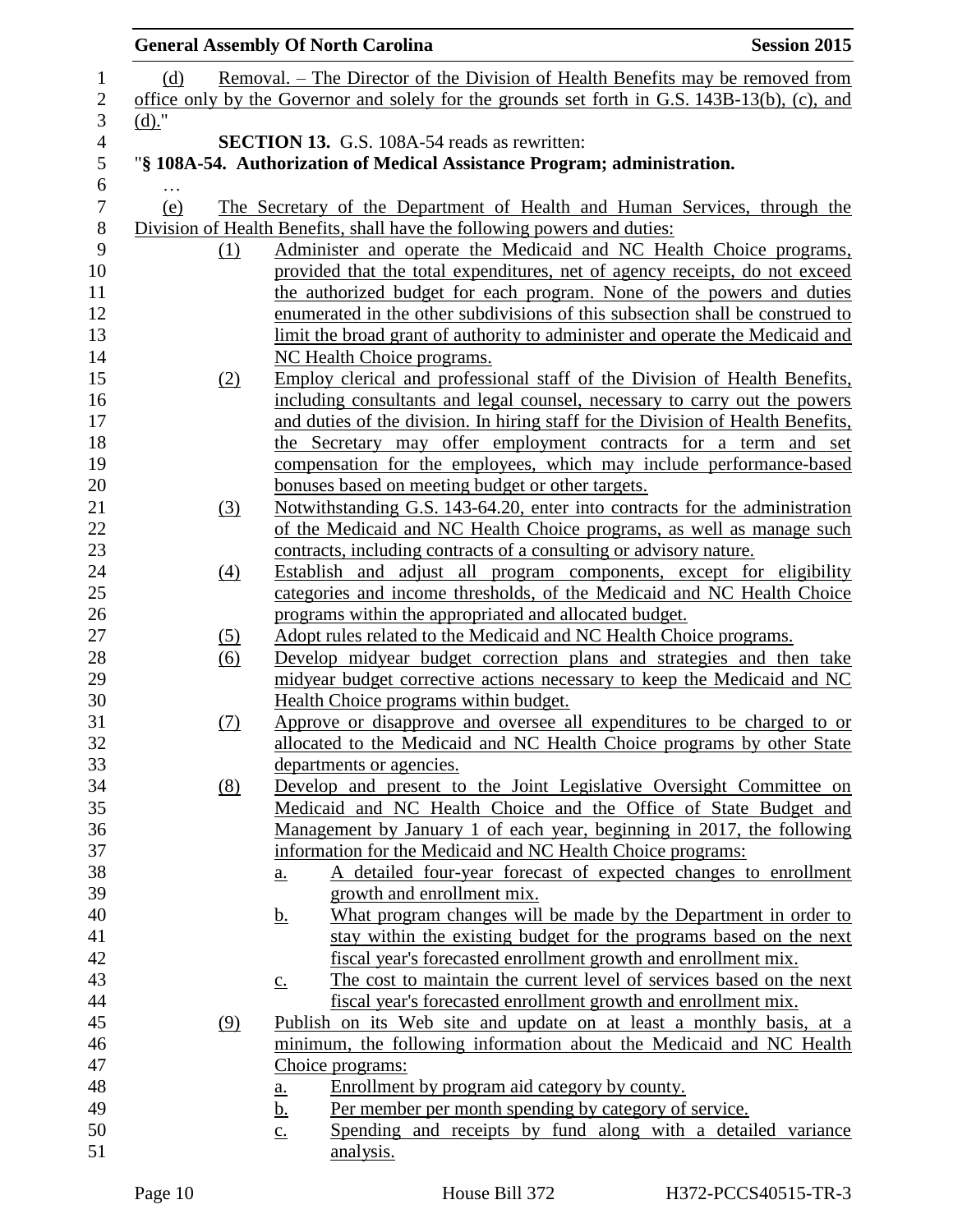|                   | <b>General Assembly Of North Carolina</b>                                                                                                                | <b>Session 2015</b> |
|-------------------|----------------------------------------------------------------------------------------------------------------------------------------------------------|---------------------|
| (d)               | <u>Removal. – The Director of the Division of Health Benefits may be removed from</u>                                                                    |                     |
|                   | office only by the Governor and solely for the grounds set forth in G.S. 143B-13(b), (c), and                                                            |                     |
| $(d)$ ."          |                                                                                                                                                          |                     |
|                   | <b>SECTION 13.</b> G.S. 108A-54 reads as rewritten:                                                                                                      |                     |
|                   | "§ 108A-54. Authorization of Medical Assistance Program; administration.                                                                                 |                     |
|                   |                                                                                                                                                          |                     |
| (e)               | The Secretary of the Department of Health and Human Services, through the                                                                                |                     |
|                   | Division of Health Benefits, shall have the following powers and duties:                                                                                 |                     |
| (1)               | Administer and operate the Medicaid and NC Health Choice programs,                                                                                       |                     |
|                   | provided that the total expenditures, net of agency receipts, do not exceed                                                                              |                     |
|                   | the authorized budget for each program. None of the powers and duties                                                                                    |                     |
|                   | enumerated in the other subdivisions of this subsection shall be construed to                                                                            |                     |
|                   | limit the broad grant of authority to administer and operate the Medicaid and                                                                            |                     |
|                   | NC Health Choice programs.                                                                                                                               |                     |
| (2)               | Employ clerical and professional staff of the Division of Health Benefits,<br>including consultants and legal counsel, necessary to carry out the powers |                     |
|                   | and duties of the division. In hiring staff for the Division of Health Benefits,                                                                         |                     |
|                   | the Secretary may offer employment contracts for a term and set                                                                                          |                     |
|                   | compensation for the employees, which may include performance-based                                                                                      |                     |
|                   | bonuses based on meeting budget or other targets.                                                                                                        |                     |
| (3)               | Notwithstanding G.S. 143-64.20, enter into contracts for the administration                                                                              |                     |
|                   | of the Medicaid and NC Health Choice programs, as well as manage such                                                                                    |                     |
|                   | contracts, including contracts of a consulting or advisory nature.                                                                                       |                     |
| $\left(4\right)$  | Establish and adjust all program components, except for eligibility                                                                                      |                     |
|                   | categories and income thresholds, of the Medicaid and NC Health Choice                                                                                   |                     |
|                   | programs within the appropriated and allocated budget.                                                                                                   |                     |
| (5)               | Adopt rules related to the Medicaid and NC Health Choice programs.                                                                                       |                     |
| $\underline{(6)}$ | Develop midyear budget correction plans and strategies and then take                                                                                     |                     |
|                   | midyear budget corrective actions necessary to keep the Medicaid and NC                                                                                  |                     |
| (7)               | Health Choice programs within budget.<br>Approve or disapprove and oversee all expenditures to be charged to or                                          |                     |
|                   | allocated to the Medicaid and NC Health Choice programs by other State                                                                                   |                     |
|                   | departments or agencies.                                                                                                                                 |                     |
| (8)               | Develop and present to the Joint Legislative Oversight Committee on                                                                                      |                     |
|                   | Medicaid and NC Health Choice and the Office of State Budget and                                                                                         |                     |
|                   | Management by January 1 of each year, beginning in 2017, the following                                                                                   |                     |
|                   | information for the Medicaid and NC Health Choice programs:                                                                                              |                     |
|                   | A detailed four-year forecast of expected changes to enrollment<br>a.                                                                                    |                     |
|                   | growth and enrollment mix.                                                                                                                               |                     |
|                   | What program changes will be made by the Department in order to<br><u>b.</u>                                                                             |                     |
|                   | stay within the existing budget for the programs based on the next                                                                                       |                     |
|                   | fiscal year's forecasted enrollment growth and enrollment mix.                                                                                           |                     |
|                   | The cost to maintain the current level of services based on the next<br>$\underline{c}$ .                                                                |                     |
|                   | fiscal year's forecasted enrollment growth and enrollment mix.                                                                                           |                     |
| (9)               | Publish on its Web site and update on at least a monthly basis, at a                                                                                     |                     |
|                   | minimum, the following information about the Medicaid and NC Health<br>Choice programs:                                                                  |                     |
|                   | Enrollment by program aid category by county.                                                                                                            |                     |
|                   | <u>a.</u><br>Per member per month spending by category of service.<br><u>b.</u>                                                                          |                     |
|                   | Spending and receipts by fund along with a detailed variance<br>$\underline{c}$ .                                                                        |                     |
|                   | analysis.                                                                                                                                                |                     |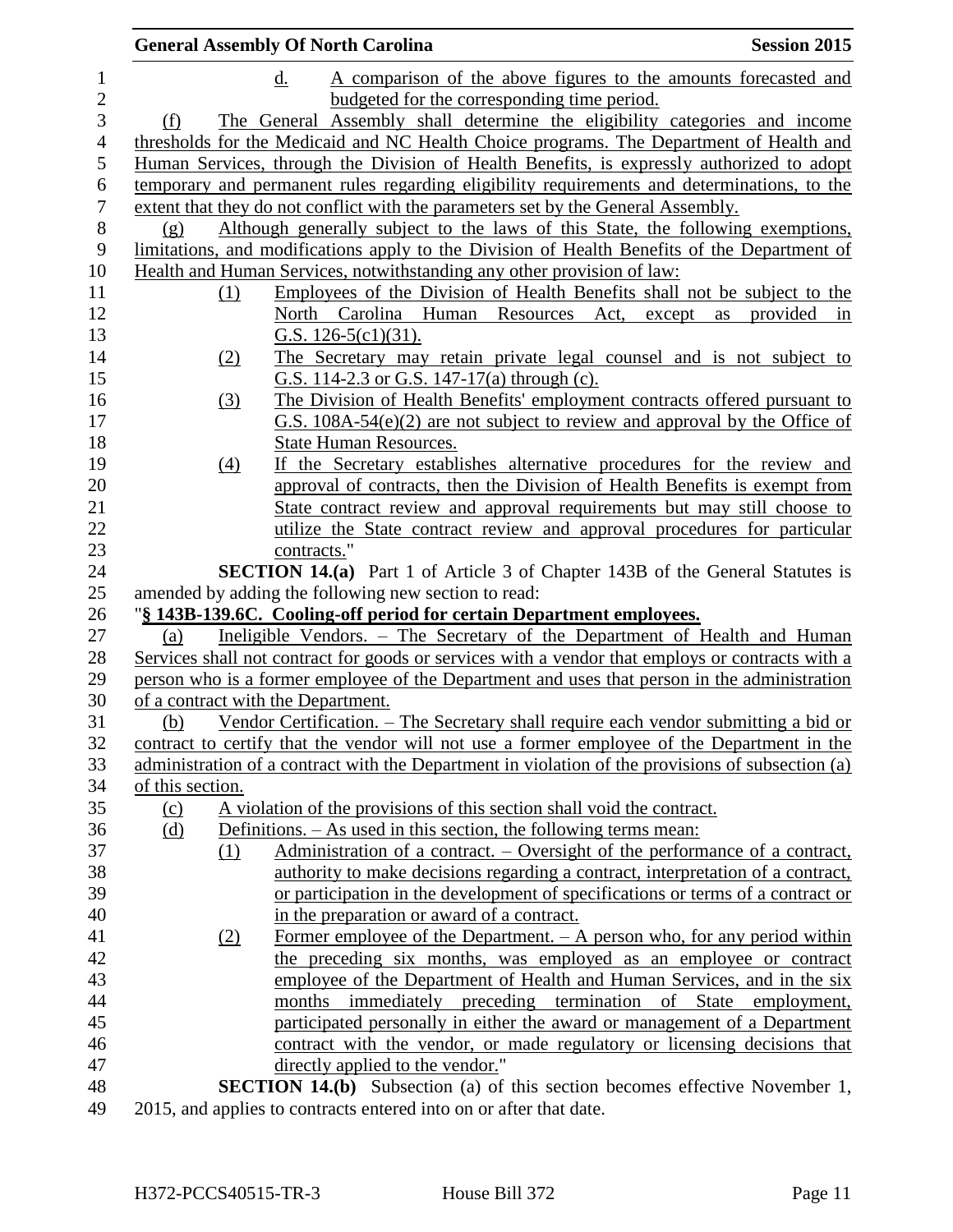|                  |                   | <b>General Assembly Of North Carolina</b>                                                         | <b>Session 2015</b> |
|------------------|-------------------|---------------------------------------------------------------------------------------------------|---------------------|
|                  |                   | d.<br>A comparison of the above figures to the amounts forecasted and                             |                     |
|                  |                   | budgeted for the corresponding time period.                                                       |                     |
| (f)              |                   | The General Assembly shall determine the eligibility categories and income                        |                     |
|                  |                   | thresholds for the Medicaid and NC Health Choice programs. The Department of Health and           |                     |
|                  |                   | Human Services, through the Division of Health Benefits, is expressly authorized to adopt         |                     |
|                  |                   | temporary and permanent rules regarding eligibility requirements and determinations, to the       |                     |
|                  |                   | extent that they do not conflict with the parameters set by the General Assembly.                 |                     |
| (g)              |                   | Although generally subject to the laws of this State, the following exemptions,                   |                     |
|                  |                   | limitations, and modifications apply to the Division of Health Benefits of the Department of      |                     |
|                  |                   | Health and Human Services, notwithstanding any other provision of law:                            |                     |
|                  | (1)               | Employees of the Division of Health Benefits shall not be subject to the                          |                     |
|                  |                   | North Carolina Human<br>Resources Act, except<br>as                                               | provided<br>in      |
|                  |                   | G.S. $126-5(c1)(31)$ .                                                                            |                     |
|                  | (2)               | The Secretary may retain private legal counsel and is not subject to                              |                     |
|                  |                   | G.S. 114-2.3 or G.S. 147-17(a) through (c).                                                       |                     |
|                  | (3)               | The Division of Health Benefits' employment contracts offered pursuant to                         |                     |
|                  |                   | $G.S. 108A-54(e)(2)$ are not subject to review and approval by the Office of                      |                     |
|                  |                   | <b>State Human Resources.</b>                                                                     |                     |
|                  | $\underline{(4)}$ | If the Secretary establishes alternative procedures for the review and                            |                     |
|                  |                   | approval of contracts, then the Division of Health Benefits is exempt from                        |                     |
|                  |                   | State contract review and approval requirements but may still choose to                           |                     |
|                  |                   | utilize the State contract review and approval procedures for particular                          |                     |
|                  |                   | contracts."                                                                                       |                     |
|                  |                   | <b>SECTION 14.(a)</b> Part 1 of Article 3 of Chapter 143B of the General Statutes is              |                     |
|                  |                   | amended by adding the following new section to read:                                              |                     |
|                  |                   | "§ 143B-139.6C. Cooling-off period for certain Department employees.                              |                     |
| (a)              |                   | Ineligible Vendors. – The Secretary of the Department of Health and Human                         |                     |
|                  |                   | Services shall not contract for goods or services with a vendor that employs or contracts with a  |                     |
|                  |                   | person who is a former employee of the Department and uses that person in the administration      |                     |
|                  |                   | of a contract with the Department.                                                                |                     |
| (b)              |                   | Vendor Certification. - The Secretary shall require each vendor submitting a bid or               |                     |
|                  |                   | contract to certify that the vendor will not use a former employee of the Department in the       |                     |
|                  |                   | administration of a contract with the Department in violation of the provisions of subsection (a) |                     |
| of this section. |                   |                                                                                                   |                     |
| (c)              |                   | A violation of the provisions of this section shall void the contract.                            |                     |
| (d)              |                   | Definitions. $-$ As used in this section, the following terms mean:                               |                     |
|                  | (1)               | Administration of a contract. – Oversight of the performance of a contract,                       |                     |
|                  |                   | authority to make decisions regarding a contract, interpretation of a contract,                   |                     |
|                  |                   | or participation in the development of specifications or terms of a contract or                   |                     |
|                  |                   | in the preparation or award of a contract.                                                        |                     |
|                  | (2)               | Former employee of the Department. $- A$ person who, for any period within                        |                     |
|                  |                   | the preceding six months, was employed as an employee or contract                                 |                     |
|                  |                   | employee of the Department of Health and Human Services, and in the six                           |                     |
|                  |                   | months immediately preceding termination of State employment,                                     |                     |
|                  |                   | participated personally in either the award or management of a Department                         |                     |
|                  |                   | contract with the vendor, or made regulatory or licensing decisions that                          |                     |
|                  |                   | directly applied to the vendor."                                                                  |                     |
|                  |                   | <b>SECTION 14.(b)</b> Subsection (a) of this section becomes effective November 1,                |                     |
|                  |                   | 2015, and applies to contracts entered into on or after that date.                                |                     |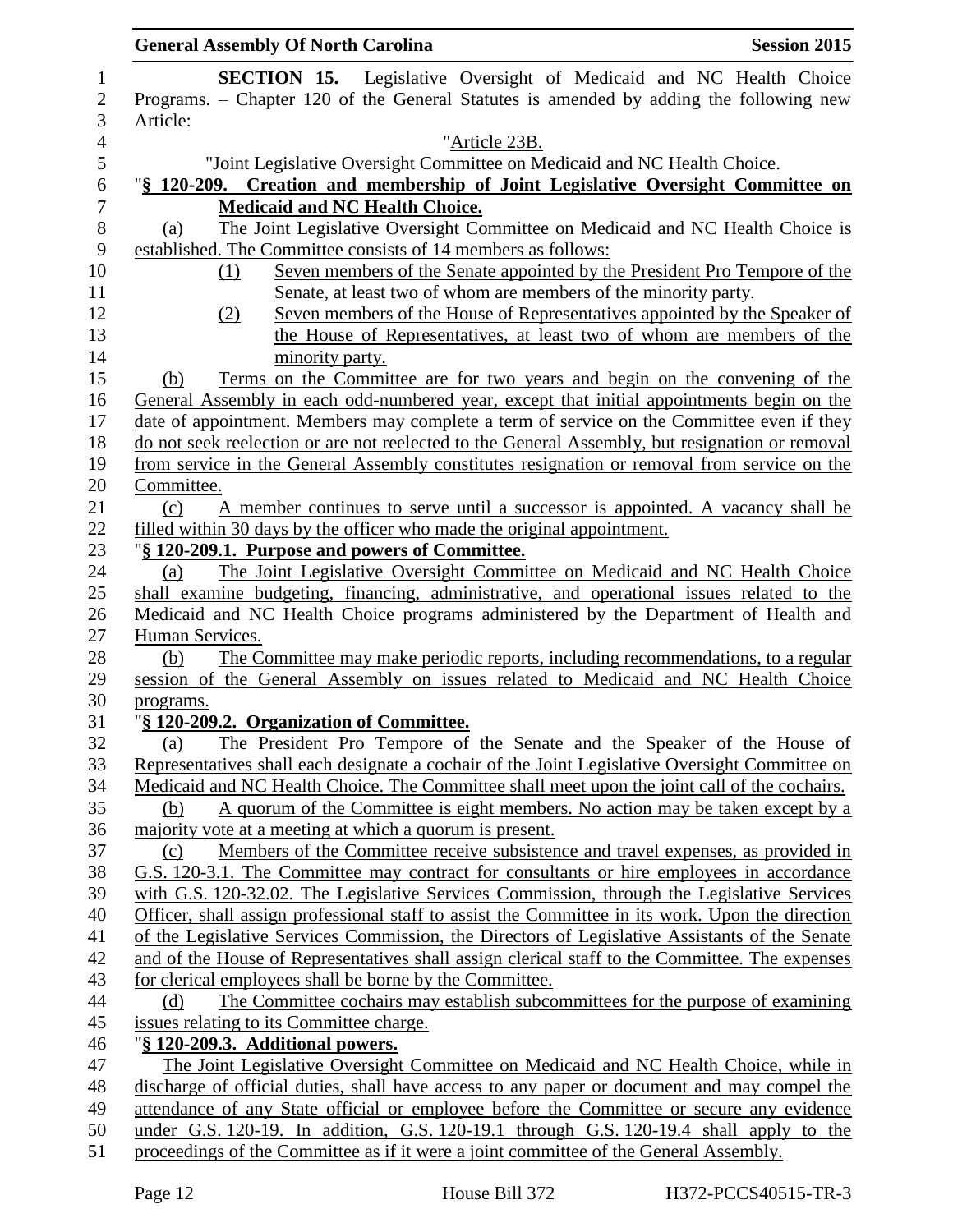| <b>General Assembly Of North Carolina</b>                                                                                                                                                         | <b>Session 2015</b> |
|---------------------------------------------------------------------------------------------------------------------------------------------------------------------------------------------------|---------------------|
| <b>SECTION 15.</b> Legislative Oversight of Medicaid and NC Health Choice                                                                                                                         |                     |
| Programs. – Chapter 120 of the General Statutes is amended by adding the following new                                                                                                            |                     |
| Article:                                                                                                                                                                                          |                     |
| "Article 23B.                                                                                                                                                                                     |                     |
| "Joint Legislative Oversight Committee on Medicaid and NC Health Choice.                                                                                                                          |                     |
| "§ 120-209. Creation and membership of Joint Legislative Oversight Committee on                                                                                                                   |                     |
| <b>Medicaid and NC Health Choice.</b>                                                                                                                                                             |                     |
| The Joint Legislative Oversight Committee on Medicaid and NC Health Choice is<br>(a)                                                                                                              |                     |
| established. The Committee consists of 14 members as follows:                                                                                                                                     |                     |
| Seven members of the Senate appointed by the President Pro Tempore of the<br>(1)                                                                                                                  |                     |
| Senate, at least two of whom are members of the minority party.                                                                                                                                   |                     |
| Seven members of the House of Representatives appointed by the Speaker of<br>(2)                                                                                                                  |                     |
| the House of Representatives, at least two of whom are members of the                                                                                                                             |                     |
| minority party.                                                                                                                                                                                   |                     |
| Terms on the Committee are for two years and begin on the convening of the<br>(b)                                                                                                                 |                     |
| General Assembly in each odd-numbered year, except that initial appointments begin on the                                                                                                         |                     |
| date of appointment. Members may complete a term of service on the Committee even if they                                                                                                         |                     |
| do not seek reelection or are not reelected to the General Assembly, but resignation or removal                                                                                                   |                     |
| from service in the General Assembly constitutes resignation or removal from service on the<br>Committee.                                                                                         |                     |
| A member continues to serve until a successor is appointed. A vacancy shall be<br>(c)                                                                                                             |                     |
| filled within 30 days by the officer who made the original appointment.                                                                                                                           |                     |
| "§ 120-209.1. Purpose and powers of Committee.                                                                                                                                                    |                     |
| The Joint Legislative Oversight Committee on Medicaid and NC Health Choice<br>(a)                                                                                                                 |                     |
| shall examine budgeting, financing, administrative, and operational issues related to the                                                                                                         |                     |
| Medicaid and NC Health Choice programs administered by the Department of Health and                                                                                                               |                     |
| Human Services.                                                                                                                                                                                   |                     |
| The Committee may make periodic reports, including recommendations, to a regular<br>(b)                                                                                                           |                     |
| session of the General Assembly on issues related to Medicaid and NC Health Choice                                                                                                                |                     |
| programs.                                                                                                                                                                                         |                     |
| "§ 120-209.2. Organization of Committee.                                                                                                                                                          |                     |
| The President Pro Tempore of the Senate and the Speaker of the House of<br>(a)                                                                                                                    |                     |
| Representatives shall each designate a cochair of the Joint Legislative Oversight Committee on                                                                                                    |                     |
| Medicaid and NC Health Choice. The Committee shall meet upon the joint call of the cochairs.                                                                                                      |                     |
| A quorum of the Committee is eight members. No action may be taken except by a<br>(b)                                                                                                             |                     |
| majority vote at a meeting at which a quorum is present.                                                                                                                                          |                     |
| Members of the Committee receive subsistence and travel expenses, as provided in<br>(c)                                                                                                           |                     |
| G.S. 120-3.1. The Committee may contract for consultants or hire employees in accordance                                                                                                          |                     |
| with G.S. 120-32.02. The Legislative Services Commission, through the Legislative Services                                                                                                        |                     |
| Officer, shall assign professional staff to assist the Committee in its work. Upon the direction<br>of the Legislative Services Commission, the Directors of Legislative Assistants of the Senate |                     |
| and of the House of Representatives shall assign clerical staff to the Committee. The expenses                                                                                                    |                     |
| for clerical employees shall be borne by the Committee.                                                                                                                                           |                     |
| The Committee cochairs may establish subcommittees for the purpose of examining<br>(d)                                                                                                            |                     |
| issues relating to its Committee charge.                                                                                                                                                          |                     |
| "§ 120-209.3. Additional powers.                                                                                                                                                                  |                     |
| The Joint Legislative Oversight Committee on Medicaid and NC Health Choice, while in                                                                                                              |                     |
| discharge of official duties, shall have access to any paper or document and may compel the                                                                                                       |                     |
| attendance of any State official or employee before the Committee or secure any evidence                                                                                                          |                     |
| under G.S. 120-19. In addition, G.S. 120-19.1 through G.S. 120-19.4 shall apply to the                                                                                                            |                     |
| proceedings of the Committee as if it were a joint committee of the General Assembly.                                                                                                             |                     |
|                                                                                                                                                                                                   |                     |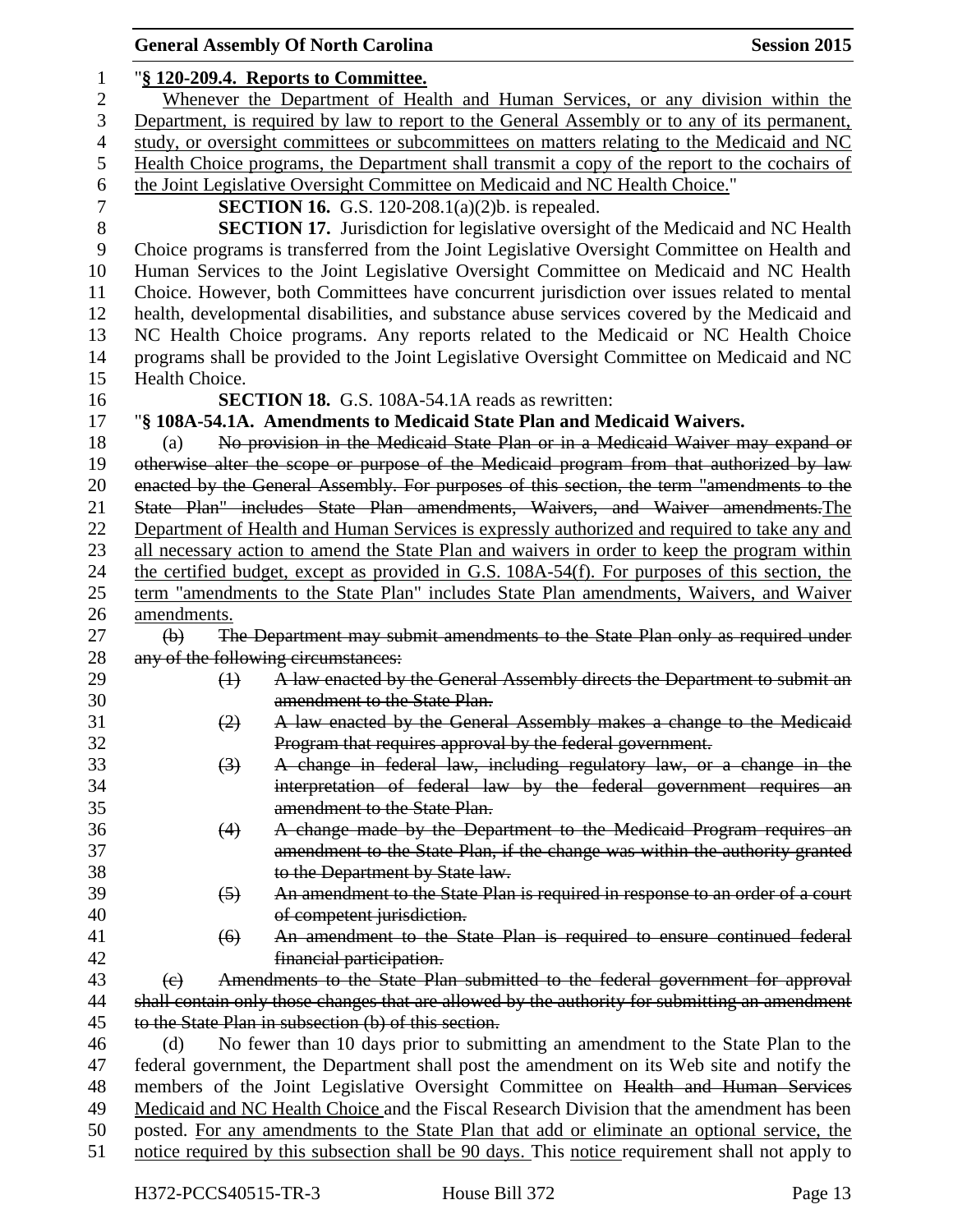|                  |                                                                                                 | <b>General Assembly Of North Carolina</b>                                                      | <b>Session 2015</b> |  |
|------------------|-------------------------------------------------------------------------------------------------|------------------------------------------------------------------------------------------------|---------------------|--|
| $\mathbf{1}$     | "§ 120-209.4. Reports to Committee.                                                             |                                                                                                |                     |  |
| 2                | Whenever the Department of Health and Human Services, or any division within the                |                                                                                                |                     |  |
| 3                |                                                                                                 | Department, is required by law to report to the General Assembly or to any of its permanent,   |                     |  |
| $\overline{4}$   |                                                                                                 | study, or oversight committees or subcommittees on matters relating to the Medicaid and NC     |                     |  |
| 5                |                                                                                                 | Health Choice programs, the Department shall transmit a copy of the report to the cochairs of  |                     |  |
| 6                |                                                                                                 | the Joint Legislative Oversight Committee on Medicaid and NC Health Choice."                   |                     |  |
| $\boldsymbol{7}$ | <b>SECTION 16.</b> G.S. 120-208.1(a)(2)b. is repealed.                                          |                                                                                                |                     |  |
| $8\,$            |                                                                                                 | <b>SECTION 17.</b> Jurisdiction for legislative oversight of the Medicaid and NC Health        |                     |  |
| 9                |                                                                                                 | Choice programs is transferred from the Joint Legislative Oversight Committee on Health and    |                     |  |
| 10               | Human Services to the Joint Legislative Oversight Committee on Medicaid and NC Health           |                                                                                                |                     |  |
| 11               | Choice. However, both Committees have concurrent jurisdiction over issues related to mental     |                                                                                                |                     |  |
| 12               | health, developmental disabilities, and substance abuse services covered by the Medicaid and    |                                                                                                |                     |  |
| 13               | NC Health Choice programs. Any reports related to the Medicaid or NC Health Choice              |                                                                                                |                     |  |
| 14               | programs shall be provided to the Joint Legislative Oversight Committee on Medicaid and NC      |                                                                                                |                     |  |
| 15               | Health Choice.                                                                                  |                                                                                                |                     |  |
|                  |                                                                                                 | <b>SECTION 18.</b> G.S. 108A-54.1A reads as rewritten:                                         |                     |  |
| 16               |                                                                                                 |                                                                                                |                     |  |
| 17               |                                                                                                 | "§ 108A-54.1A. Amendments to Medicaid State Plan and Medicaid Waivers.                         |                     |  |
| 18               | (a)                                                                                             | No provision in the Medicaid State Plan or in a Medicaid Waiver may expand or                  |                     |  |
| 19               |                                                                                                 | otherwise alter the scope or purpose of the Medicaid program from that authorized by law       |                     |  |
| 20               |                                                                                                 | enacted by the General Assembly. For purposes of this section, the term "amendments to the     |                     |  |
| 21               |                                                                                                 | State Plan" includes State Plan amendments, Waivers, and Waiver amendments. The                |                     |  |
| 22               | Department of Health and Human Services is expressly authorized and required to take any and    |                                                                                                |                     |  |
| 23               | all necessary action to amend the State Plan and waivers in order to keep the program within    |                                                                                                |                     |  |
| 24               | the certified budget, except as provided in G.S. 108A-54(f). For purposes of this section, the  |                                                                                                |                     |  |
| 25               |                                                                                                 | term "amendments to the State Plan" includes State Plan amendments, Waivers, and Waiver        |                     |  |
| 26               | amendments.                                                                                     |                                                                                                |                     |  |
| 27               | $\Theta$                                                                                        | The Department may submit amendments to the State Plan only as required under                  |                     |  |
| 28               |                                                                                                 | any of the following circumstances:                                                            |                     |  |
| 29               | $\leftrightarrow$                                                                               | A law enacted by the General Assembly directs the Department to submit an                      |                     |  |
| 30               |                                                                                                 | amendment to the State Plan.                                                                   |                     |  |
| 31               | (2)                                                                                             | A law enacted by the General Assembly makes a change to the Medicaid                           |                     |  |
| 32               |                                                                                                 | Program that requires approval by the federal government.                                      |                     |  |
| 33               | $\left(3\right)$                                                                                | A change in federal law, including regulatory law, or a change in the                          |                     |  |
| 34               |                                                                                                 | interpretation of federal law by the federal government requires an                            |                     |  |
| 35               |                                                                                                 | amendment to the State Plan.                                                                   |                     |  |
| 36               | (4)                                                                                             | A change made by the Department to the Medicaid Program requires an                            |                     |  |
| 37               |                                                                                                 | amendment to the State Plan, if the change was within the authority granted                    |                     |  |
| 38               |                                                                                                 | to the Department by State law.                                                                |                     |  |
| 39               | $\left(5\right)$                                                                                | An amendment to the State Plan is required in response to an order of a court                  |                     |  |
| 40               |                                                                                                 | of competent jurisdiction.                                                                     |                     |  |
| 41               | (6)                                                                                             | An amendment to the State Plan is required to ensure continued federal                         |                     |  |
| 42               |                                                                                                 | financial participation.                                                                       |                     |  |
| 43               | (e)                                                                                             | Amendments to the State Plan submitted to the federal government for approval                  |                     |  |
| 44               |                                                                                                 | shall contain only those changes that are allowed by the authority for submitting an amendment |                     |  |
| 45               |                                                                                                 | to the State Plan in subsection (b) of this section.                                           |                     |  |
| 46               | (d)                                                                                             | No fewer than 10 days prior to submitting an amendment to the State Plan to the                |                     |  |
| 47               |                                                                                                 | federal government, the Department shall post the amendment on its Web site and notify the     |                     |  |
| 48               | members of the Joint Legislative Oversight Committee on Health and Human Services               |                                                                                                |                     |  |
| 49               | Medicaid and NC Health Choice and the Fiscal Research Division that the amendment has been      |                                                                                                |                     |  |
| 50               | posted. For any amendments to the State Plan that add or eliminate an optional service, the     |                                                                                                |                     |  |
| 51               | notice required by this subsection shall be 90 days. This notice requirement shall not apply to |                                                                                                |                     |  |